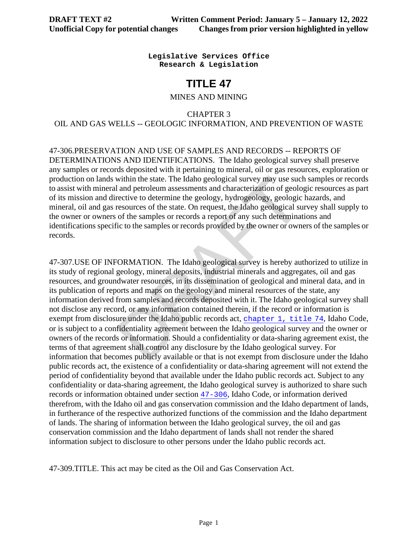**Legislative Services Office Research & Legislation**

# **TITLE 47**

#### MINES AND MINING

CHAPTER 3

OIL AND GAS WELLS -- GEOLOGIC INFORMATION, AND PREVENTION OF WASTE

47-306.PRESERVATION AND USE OF SAMPLES AND RECORDS -- REPORTS OF DETERMINATIONS AND IDENTIFICATIONS. The Idaho geological survey shall preserve any samples or records deposited with it pertaining to mineral, oil or gas resources, exploration or production on lands within the state. The Idaho geological survey may use such samples or records to assist with mineral and petroleum assessments and characterization of geologic resources as part of its mission and directive to determine the geology, hydrogeology, geologic hazards, and mineral, oil and gas resources of the state. On request, the Idaho geological survey shall supply to the owner or owners of the samples or records a report of any such determinations and identifications specific to the samples or records provided by the owner or owners of the samples or records.

within the state. The Idaho geological survey may use suc<br>
and petroleum assessments and characterization of geologic<br>
rective to determine the geology, hydrogeology, geologic<br>
resources of the state. On request, the Idaho 47-307.USE OF INFORMATION. The Idaho geological survey is hereby authorized to utilize in its study of regional geology, mineral deposits, industrial minerals and aggregates, oil and gas resources, and groundwater resources, in its dissemination of geological and mineral data, and in its publication of reports and maps on the geology and mineral resources of the state, any information derived from samples and records deposited with it. The Idaho geological survey shall not disclose any record, or any information contained therein, if the record or information is exempt from disclosure under the Idaho public records act, chapter 1, title 74, Idaho Code, or is subject to a confidentiality agreement between the Idaho geological survey and the owner or owners of the records or information. Should a confidentiality or data-sharing agreement exist, the terms of that agreement shall control any disclosure by the Idaho geological survey. For information that becomes publicly available or that is not exempt from disclosure under the Idaho public records act, the existence of a confidentiality or data-sharing agreement will not extend the period of confidentiality beyond that available under the Idaho public records act. Subject to any confidentiality or data-sharing agreement, the Idaho geological survey is authorized to share such records or information obtained under section [47-306](https://legislature.idaho.gov/statutesrules/idstat/Title47/T47CH3SECT47-306), Idaho Code, or information derived therefrom, with the Idaho oil and gas conservation commission and the Idaho department of lands, in furtherance of the respective authorized functions of the commission and the Idaho department of lands. The sharing of information between the Idaho geological survey, the oil and gas conservation commission and the Idaho department of lands shall not render the shared information subject to disclosure to other persons under the Idaho public records act.

47-309.TITLE. This act may be cited as the Oil and Gas Conservation Act.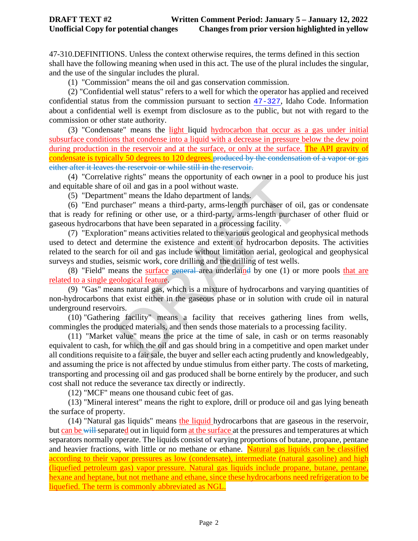47-310.DEFINITIONS. Unless the context otherwise requires, the terms defined in this section shall have the following meaning when used in this act. The use of the plural includes the singular, and the use of the singular includes the plural.

(1) "Commission" means the oil and gas conservation commission.

(2) "Confidential well status" refers to a well for which the operator has applied and received confidential status from the commission pursuant to section [47-327](https://teamwork.idl.idaho.gov/statutesrules/idstat/Title47/T47CH3/SECT47-327), Idaho Code. Information about a confidential well is exempt from disclosure as to the public, but not with regard to the commission or other state authority.

(3) "Condensate" means the light liquid hydrocarbon that occur as a gas under initial subsurface conditions that condense into a liquid with a decrease in pressure below the dew point during production in the reservoir and at the surface, or only at the surface. The API gravity of condensate is typically 50 degrees to 120 degrees.produced by the condensation of a vapor or gas either after it leaves the reservoir or while still in the reservoir.

(4) "Correlative rights" means the opportunity of each owner in a pool to produce his just and equitable share of oil and gas in a pool without waste.

(5) "Department" means the Idaho department of lands.

(6) "End purchaser" means a third-party, arms-length purchaser of oil, gas or condensate that is ready for refining or other use, or a third-party, arms-length purchaser of other fluid or gaseous hydrocarbons that have been separated in a processing facility.

if the signals in a poor of each owner in a poor of oil and gas in a pool without waste.<br>
Int" means the Idaho department of lands.<br>
Interactions are third-party, arms-length purchaser of oil<br>
ining or other use, or a thir (7) "Exploration" means activities related to the various geological and geophysical methods used to detect and determine the existence and extent of hydrocarbon deposits. The activities related to the search for oil and gas include without limitation aerial, geological and geophysical surveys and studies, seismic work, core drilling and the drilling of test wells.

(8) "Field" means the surface general area underlained by one  $(1)$  or more pools that are related to a single geological feature.

(9) "Gas" means natural gas, which is a mixture of hydrocarbons and varying quantities of non-hydrocarbons that exist either in the gaseous phase or in solution with crude oil in natural underground reservoirs.

(10) "Gathering facility" means a facility that receives gathering lines from wells, commingles the produced materials, and then sends those materials to a processing facility.

(11) "Market value" means the price at the time of sale, in cash or on terms reasonably equivalent to cash, for which the oil and gas should bring in a competitive and open market under all conditions requisite to a fair sale, the buyer and seller each acting prudently and knowledgeably, and assuming the price is not affected by undue stimulus from either party. The costs of marketing, transporting and processing oil and gas produced shall be borne entirely by the producer, and such cost shall not reduce the severance tax directly or indirectly.

(12) "MCF" means one thousand cubic feet of gas.

(13) "Mineral interest" means the right to explore, drill or produce oil and gas lying beneath the surface of property.

(14) "Natural gas liquids" means the liquid hydrocarbons that are gaseous in the reservoir, but can be will separated out in liquid form at the surface at the pressures and temperatures at which separators normally operate. The liquids consist of varying proportions of butane, propane, pentane and heavier fractions, with little or no methane or ethane. Natural gas liquids can be classified according to their vapor pressures as low (condensate), intermediate (natural gasoline) and high (liquefied petroleum gas) vapor [pressure.](https://glossary.oilfield.slb.com/en/terms/p/pressure) Natural gas liquids include propane, butane, pentane, hexane and heptane, but not [methane](https://glossary.oilfield.slb.com/en/terms/m/methane) and ethane, since these hydrocarbons need refrigeration to be liquefied. The term is commonly abbreviated as NGL.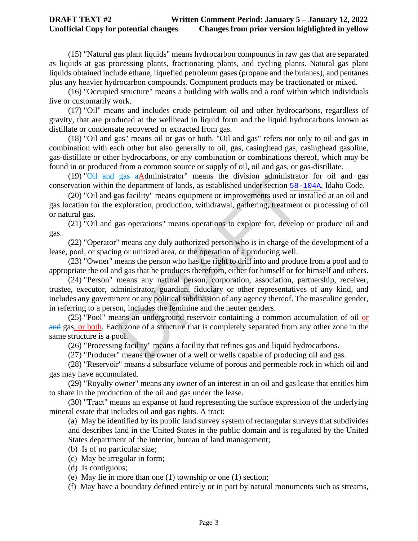### **DRAFT TEXT #2 Written Comment Period: January 5 – January 12, 2022 Unofficial Copy for potential changes Changes from prior version highlighted in yellow**

(15) "Natural gas plant liquids" means hydrocarbon compounds in raw gas that are separated as liquids at gas processing plants, fractionating plants, and cycling plants. Natural gas plant liquids obtained include ethane, liquefied petroleum gases (propane and the butanes), and pentanes plus any heavier hydrocarbon compounds. Component products may be fractionated or mixed.

(16) "Occupied structure" means a building with walls and a roof within which individuals live or customarily work.

(17) "Oil" means and includes crude petroleum oil and other hydrocarbons, regardless of gravity, that are produced at the wellhead in liquid form and the liquid hydrocarbons known as distillate or condensate recovered or extracted from gas.

(18) "Oil and gas" means oil or gas or both. "Oil and gas" refers not only to oil and gas in combination with each other but also generally to oil, gas, casinghead gas, casinghead gasoline, gas-distillate or other hydrocarbons, or any combination or combinations thereof, which may be found in or produced from a common source or supply of oil, oil and gas, or gas-distillate.

(19) " $\overrightarrow{OH}$  and gas aAdministrator" means the division administrator for oil and gas conservation within the department of lands, as established under section 58[-104A](https://teamwork.idl.idaho.gov/statutesrules/idstat/Title58/T58CH1/SECT58-104A), Idaho Code.

(20) "Oil and gas facility" means equipment or improvements used or installed at an oil and gas location for the exploration, production, withdrawal, gathering, treatment or processing of oil or natural gas.

(21) "Oil and gas operations" means operations to explore for, develop or produce oil and gas.

(22) "Operator" means any duly authorized person who is in charge of the development of a lease, pool, or spacing or unitized area, or the operation of a producing well.

(23) "Owner" means the person who has the right to drill into and produce from a pool and to appropriate the oil and gas that he produces therefrom, either for himself or for himself and others.

 $\frac{2685}{2484}$  and the department of lands, as established under section  $\frac{58}{248}$  facility" means equipment or improvements used or in exploration, production, withdrawal, gathering, treatment gas operations" means o (24) "Person" means any natural person, corporation, association, partnership, receiver, trustee, executor, administrator, guardian, fiduciary or other representatives of any kind, and includes any government or any political subdivision of any agency thereof. The masculine gender, in referring to a person, includes the feminine and the neuter genders.

(25) "Pool" means an underground reservoir containing a common accumulation of oil or and gas, or both. Each zone of a structure that is completely separated from any other zone in the same structure is a pool.

(26) "Processing facility" means a facility that refines gas and liquid hydrocarbons.

(27) "Producer" means the owner of a well or wells capable of producing oil and gas.

(28) "Reservoir" means a subsurface volume of porous and permeable rock in which oil and gas may have accumulated.

(29) "Royalty owner" means any owner of an interest in an oil and gas lease that entitles him to share in the production of the oil and gas under the lease.

(30) "Tract" means an expanse of land representing the surface expression of the underlying mineral estate that includes oil and gas rights. A tract:

(a) May be identified by its public land survey system of rectangular surveys that subdivides and describes land in the United States in the public domain and is regulated by the United States department of the interior, bureau of land management;

- (b) Is of no particular size;
- (c) May be irregular in form;
- (d) Is contiguous;

(e) May lie in more than one (1) township or one (1) section;

(f) May have a boundary defined entirely or in part by natural monuments such as streams,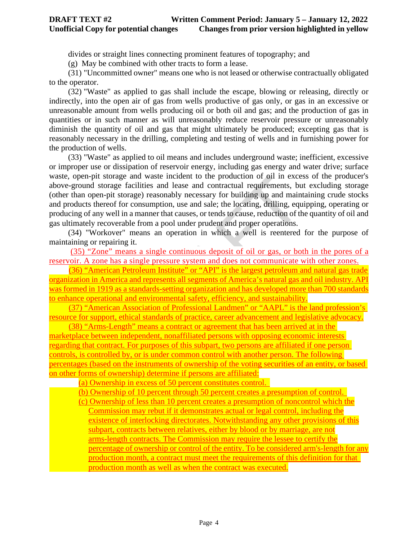divides or straight lines connecting prominent features of topography; and

(g) May be combined with other tracts to form a lease.

(31) "Uncommitted owner" means one who is not leased or otherwise contractually obligated to the operator.

(32) "Waste" as applied to gas shall include the escape, blowing or releasing, directly or indirectly, into the open air of gas from wells productive of gas only, or gas in an excessive or unreasonable amount from wells producing oil or both oil and gas; and the production of gas in quantities or in such manner as will unreasonably reduce reservoir pressure or unreasonably diminish the quantity of oil and gas that might ultimately be produced; excepting gas that is reasonably necessary in the drilling, completing and testing of wells and in furnishing power for the production of wells.

age and waste incident to the production of oil in excesse facilities and lease and contractual requirements, by storage) reasonably necessary for building up and main for consumption, use and sale; the locating, drilling, (33) "Waste" as applied to oil means and includes underground waste; inefficient, excessive or improper use or dissipation of reservoir energy, including gas energy and water drive; surface waste, open-pit storage and waste incident to the production of oil in excess of the producer's above-ground storage facilities and lease and contractual requirements, but excluding storage (other than open-pit storage) reasonably necessary for building up and maintaining crude stocks and products thereof for consumption, use and sale; the locating, drilling, equipping, operating or producing of any well in a manner that causes, or tends to cause, reduction of the quantity of oil and gas ultimately recoverable from a pool under prudent and proper operations.

(34) "Workover" means an operation in which a well is reentered for the purpose of maintaining or repairing it.

(35) "Zone" means a single continuous deposit of oil or gas, or both in the pores of a reservoir. A zone has a single pressure system and does not communicate with other zones.

 (36) "American Petroleum Institute" or "API" is the largest petroleum and natural gas trade organization in America and represents all segments of America's natural gas and oil industry. API was formed in 1919 as a standards-setting organization and has developed more than 700 standards to enhance operational and environmental safety, efficiency, and sustainability.

 (37) "American Association of Professional Landmen" or "AAPL" is the land profession's resource for support, ethical standards of practice, career advancement and legislative advocacy.

 (38) "Arms-Length" means a contract or agreement that has been arrived at in the marketplace between independent, nonaffiliated persons with opposing economic interests regarding that contract. For purposes of this subpart, two persons are affiliated if one person controls, is controlled by, or is under common control with another person. The following percentages (based on the instruments of ownership of the voting securities of an entity, or based on other forms of ownership) determine if persons are affiliated:

(a) Ownership in excess of 50 percent constitutes control.

 (b) Ownership of 10 percent through 50 percent creates a presumption of control. (c) Ownership of less than 10 percent creates a presumption of noncontrol which the Commission may rebut if it demonstrates actual or legal control, including the existence of interlocking directorates. Notwithstanding any other provisions of this subpart, contracts between relatives, either by blood or by marriage, are not arms-length contracts. The Commission may require the lessee to certify the percentage of ownership or control of the entity. To be considered arm's-length for any production month, a contract must meet the requirements of this definition for that production month as well as when the contract was executed.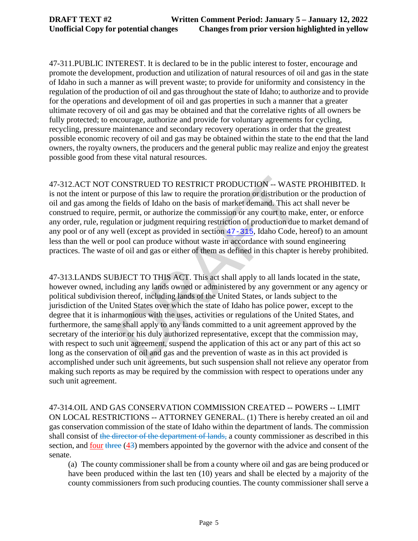47-311.PUBLIC INTEREST. It is declared to be in the public interest to foster, encourage and promote the development, production and utilization of natural resources of oil and gas in the state of Idaho in such a manner as will prevent waste; to provide for uniformity and consistency in the regulation of the production of oil and gas throughout the state of Idaho; to authorize and to provide for the operations and development of oil and gas properties in such a manner that a greater ultimate recovery of oil and gas may be obtained and that the correlative rights of all owners be fully protected; to encourage, authorize and provide for voluntary agreements for cycling, recycling, pressure maintenance and secondary recovery operations in order that the greatest possible economic recovery of oil and gas may be obtained within the state to the end that the land owners, the royalty owners, the producers and the general public may realize and enjoy the greatest possible good from these vital natural resources.

47-312.ACT NOT CONSTRUED TO RESTRICT PRODUCTION -- WASTE PROHIBITED. It is not the intent or purpose of this law to require the proration or distribution or the production of oil and gas among the fields of Idaho on the basis of market demand. This act shall never be construed to require, permit, or authorize the commission or any court to make, enter, or enforce any order, rule, regulation or judgment requiring restriction of production due to market demand of any pool or of any well (except as provided in section 47-315, Idaho Code, hereof) to an amount less than the well or pool can produce without waste in accordance with sound engineering practices. The waste of oil and gas or either of them as defined in this chapter is hereby prohibited.

CONSTRUED TO RESTRICT PRODUCTION -- WAST<br>urpose of this law to require the proration or distribution ene fields of Idaho on the basis of market demand. This act<br>permit, or authorize the commission or any court to mak<br>atai 47-313.LANDS SUBJECT TO THIS ACT. This act shall apply to all lands located in the state, however owned, including any lands owned or administered by any government or any agency or political subdivision thereof, including lands of the United States, or lands subject to the jurisdiction of the United States over which the state of Idaho has police power, except to the degree that it is inharmonious with the uses, activities or regulations of the United States, and furthermore, the same shall apply to any lands committed to a unit agreement approved by the secretary of the interior or his duly authorized representative, except that the commission may, with respect to such unit agreement, suspend the application of this act or any part of this act so long as the conservation of oil and gas and the prevention of waste as in this act provided is accomplished under such unit agreements, but such suspension shall not relieve any operator from making such reports as may be required by the commission with respect to operations under any such unit agreement.

47-314.OIL AND GAS CONSERVATION COMMISSION CREATED -- POWERS -- LIMIT ON LOCAL RESTRICTIONS -- ATTORNEY GENERAL. (1) There is hereby created an oil and gas conservation commission of the state of Idaho within the department of lands. The commission shall consist of the director of the department of lands, a county commissioner as described in this section, and four three (43) members appointed by the governor with the advice and consent of the senate.

(a) The county commissioner shall be from a county where oil and gas are being produced or have been produced within the last ten (10) years and shall be elected by a majority of the county commissioners from such producing counties. The county commissioner shall serve a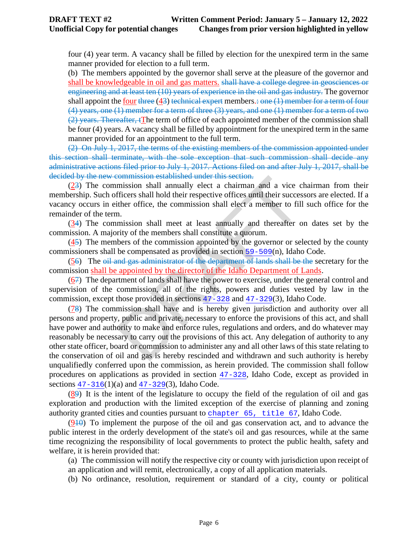four (4) year term. A vacancy shall be filled by election for the unexpired term in the same manner provided for election to a full term.

(b) The members appointed by the governor shall serve at the pleasure of the governor and shall be knowledgeable in oil and gas matters. shall have a college degree in geosciences or engineering and at least ten (10) years of experience in the oil and gas industry. The governor shall appoint the four three  $(43)$  technical expert members.: one  $(1)$  member for a term of four (4) years, one (1) member for a term of three (3) years, and one (1) member for a term of two  $(2)$  years. Thereafter,  $f$ The term of office of each appointed member of the commission shall be four (4) years. A vacancy shall be filled by appointment for the unexpired term in the same manner provided for an appointment to the full term.

(2) On July 1, 2017, the terms of the existing members of the commission appointed under this section shall terminate, with the sole exception that such commission shall decide any administrative actions filed prior to July 1, 2017. Actions filed on and after July 1, 2017, shall be decided by the new commission established under this section.

(23) The commission shall annually elect a chairman and a vice chairman from their membership. Such officers shall hold their respective offices until their successors are elected. If a vacancy occurs in either office, the commission shall elect a member to fill such office for the remainder of the term.

(34) The commission shall meet at least annually and thereafter on dates set by the commission. A majority of the members shall constitute a quorum.

 $(45)$  The members of the commission appointed by the governor or selected by the county commissioners shall be compensated as provided in section 59-509(n), Idaho Code.

(56) The oil and gas administrator of the department of lands shall be the secretary for the commission shall be appointed by the director of the Idaho Department of Lands.

(67) The department of lands shall have the power to exercise, under the general control and supervision of the commission, all of the rights, powers and duties vested by law in the commission, except those provided in sections 47-328 and 47-329(3), Idaho Code.

**EXECUTE:**<br>
EXECUTE: The set all non-<br>
mission shall annually elect a chairman and a vice c<br>
fficers shall hold their respective offices until their succes<br>
there office, the commission shall elect a member to fil<br>
n.<br>
mi (78) The commission shall have and is hereby given jurisdiction and authority over all persons and property, public and private, necessary to enforce the provisions of this act, and shall have power and authority to make and enforce rules, regulations and orders, and do whatever may reasonably be necessary to carry out the provisions of this act. Any delegation of authority to any other state officer, board or commission to administer any and all other laws of this state relating to the conservation of oil and gas is hereby rescinded and withdrawn and such authority is hereby unqualifiedly conferred upon the commission, as herein provided. The commission shall follow procedures on applications as provided in section [47-328](https://teamwork.idl.idaho.gov/statutesrules/idstat/Title47/T47CH3/SECT47-328), Idaho Code, except as provided in sections  $47 - 316(1)(a)$  and  $47 - 329(3)$ , Idaho Code.

(89) It is the intent of the legislature to occupy the field of the regulation of oil and gas exploration and production with the limited exception of the exercise of planning and zoning authority granted cities and counties pursuant to [chapter 65, title 67](https://teamwork.idl.idaho.gov/statutesrules/idstat/Title67/T67CH65), Idaho Code.

 $(910)$  To implement the purpose of the oil and gas conservation act, and to advance the public interest in the orderly development of the state's oil and gas resources, while at the same time recognizing the responsibility of local governments to protect the public health, safety and welfare, it is herein provided that:

(a) The commission will notify the respective city or county with jurisdiction upon receipt of

an application and will remit, electronically, a copy of all application materials.

(b) No ordinance, resolution, requirement or standard of a city, county or political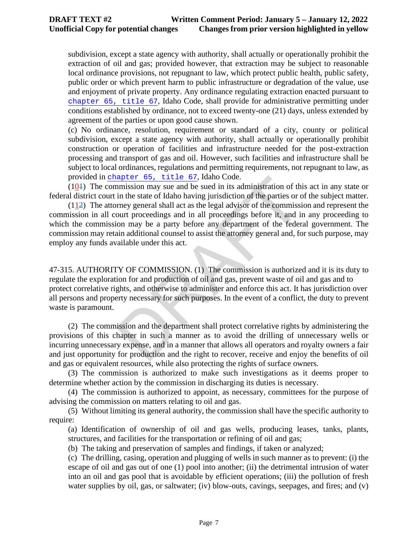subdivision, except a state agency with authority, shall actually or operationally prohibit the extraction of oil and gas; provided however, that extraction may be subject to reasonable local ordinance provisions, not repugnant to law, which protect public health, public safety, public order or which prevent harm to public infrastructure or degradation of the value, use and enjoyment of private property. Any ordinance regulating extraction enacted pursuant to [chapter 65, title 67](https://teamwork.idl.idaho.gov/statutesrules/idstat/Title67/T67CH65), Idaho Code, shall provide for administrative permitting under conditions established by ordinance, not to exceed twenty-one (21) days, unless extended by agreement of the parties or upon good cause shown.

(c) No ordinance, resolution, requirement or standard of a city, county or political subdivision, except a state agency with authority, shall actually or operationally prohibit construction or operation of facilities and infrastructure needed for the post-extraction processing and transport of gas and oil. However, such facilities and infrastructure shall be subject to local ordinances, regulations and permitting requirements, not repugnant to law, as provided in[chapter 65, title 67](https://teamwork.idl.idaho.gov/statutesrules/idstat/Title67/T67CH65), Idaho Code.

(101) The commission may sue and be sued in its administration of this act in any state or federal district court in the state of Idaho having jurisdiction of the parties or of the subject matter.

apter 65, title 67, Idaho Code.<br>
mission may sue and be sued in its administration of th<br>
in the state of Idaho having jurisdiction of the parties or c<br>
rmey general shall act as the legal advisor of the commissi<br>
ourt pr (112) The attorney general shall act as the legal advisor of the commission and represent the commission in all court proceedings and in all proceedings before it, and in any proceeding to which the commission may be a party before any department of the federal government. The commission may retain additional counsel to assist the attorney general and, for such purpose, may employ any funds available under this act.

47-315. AUTHORITY OF COMMISSION. (1) The commission is authorized and it is its duty to regulate the exploration for and production of oil and gas, prevent waste of oil and gas and to protect correlative rights, and otherwise to administer and enforce this act. It has jurisdiction over all persons and property necessary for such purposes. In the event of a conflict, the duty to prevent waste is paramount.

(2) The commission and the department shall protect correlative rights by administering the provisions of this chapter in such a manner as to avoid the drilling of unnecessary wells or incurring unnecessary expense, and in a manner that allows all operators and royalty owners a fair and just opportunity for production and the right to recover, receive and enjoy the benefits of oil and gas or equivalent resources, while also protecting the rights of surface owners.

(3) The commission is authorized to make such investigations as it deems proper to determine whether action by the commission in discharging its duties is necessary.

(4) The commission is authorized to appoint, as necessary, committees for the purpose of advising the commission on matters relating to oil and gas.

(5) Without limiting its general authority, the commission shall have the specific authority to require:

(a) Identification of ownership of oil and gas wells, producing leases, tanks, plants, structures, and facilities for the transportation or refining of oil and gas;

(b) The taking and preservation of samples and findings, if taken or analyzed;

(c) The drilling, casing, operation and plugging of wells in such manner as to prevent: (i) the escape of oil and gas out of one (1) pool into another; (ii) the detrimental intrusion of water into an oil and gas pool that is avoidable by efficient operations; (iii) the pollution of fresh water supplies by oil, gas, or saltwater; (iv) blow-outs, cavings, seepages, and fires; and (v)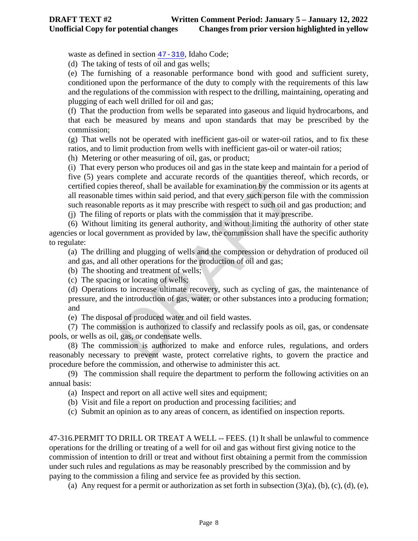waste as defined in section [47-310](https://teamwork.idl.idaho.gov/statutesrules/idstat/Title47/T47CH3/SECT47-310), Idaho Code;

(d) The taking of tests of oil and gas wells;

(e) The furnishing of a reasonable performance bond with good and sufficient surety, conditioned upon the performance of the duty to comply with the requirements of this law and the regulations of the commission with respect to the drilling, maintaining, operating and plugging of each well drilled for oil and gas;

(f) That the production from wells be separated into gaseous and liquid hydrocarbons, and that each be measured by means and upon standards that may be prescribed by the commission;

(g) That wells not be operated with inefficient gas-oil or water-oil ratios, and to fix these ratios, and to limit production from wells with inefficient gas-oil or water-oil ratios;

(h) Metering or other measuring of oil, gas, or product;

complete and accurate records of the quantities thereof shereof, shall be available for examination by the commitimes within said period, and that every such person file verports as it may prescribe with respect to such oi (i) That every person who produces oil and gas in the state keep and maintain for a period of five (5) years complete and accurate records of the quantities thereof, which records, or certified copies thereof, shall be available for examination by the commission or its agents at all reasonable times within said period, and that every such person file with the commission such reasonable reports as it may prescribe with respect to such oil and gas production; and

(j) The filing of reports or plats with the commission that it may prescribe.

(6) Without limiting its general authority, and without limiting the authority of other state agencies or local government as provided by law, the commission shall have the specific authority to regulate:

(a) The drilling and plugging of wells and the compression or dehydration of produced oil and gas, and all other operations for the production of oil and gas;

(b) The shooting and treatment of wells;

(c) The spacing or locating of wells;

(d) Operations to increase ultimate recovery, such as cycling of gas, the maintenance of pressure, and the introduction of gas, water, or other substances into a producing formation; and

(e) The disposal of produced water and oil field wastes.

(7) The commission is authorized to classify and reclassify pools as oil, gas, or condensate pools, or wells as oil, gas, or condensate wells.

(8) The commission is authorized to make and enforce rules, regulations, and orders reasonably necessary to prevent waste, protect correlative rights, to govern the practice and procedure before the commission, and otherwise to administer this act.

(9) The commission shall require the department to perform the following activities on an annual basis:

(a) Inspect and report on all active well sites and equipment;

(b) Visit and file a report on production and processing facilities; and

(c) Submit an opinion as to any areas of concern, as identified on inspection reports.

47-316.PERMIT TO DRILL OR TREAT A WELL -- FEES. (1) It shall be unlawful to commence operations for the drilling or treating of a well for oil and gas without first giving notice to the commission of intention to drill or treat and without first obtaining a permit from the commission under such rules and regulations as may be reasonably prescribed by the commission and by paying to the commission a filing and service fee as provided by this section.

(a) Any request for a permit or authorization as set forth in subsection  $(3)(a)$ ,  $(b)$ ,  $(c)$ ,  $(d)$ ,  $(e)$ ,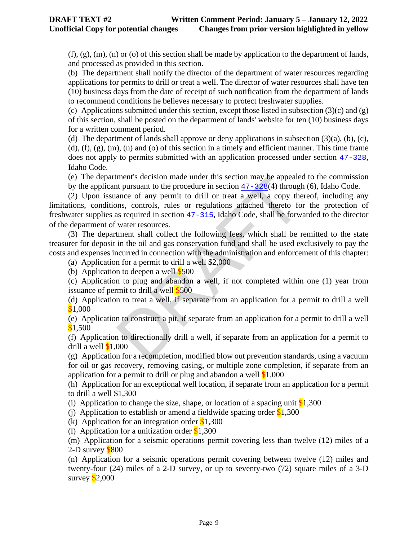$(f)$ ,  $(g)$ ,  $(m)$ ,  $(n)$  or  $(o)$  of this section shall be made by application to the department of lands, and processed as provided in this section.

(b) The department shall notify the director of the department of water resources regarding applications for permits to drill or treat a well. The director of water resources shall have ten (10) business days from the date of receipt of such notification from the department of lands to recommend conditions he believes necessary to protect freshwater supplies.

(c) Applications submitted under this section, except those listed in subsection  $(3)(c)$  and  $(g)$ of this section, shall be posted on the department of lands' website for ten (10) business days for a written comment period.

(d) The department of lands shall approve or deny applications in subsection  $(3)(a)$ ,  $(b)$ ,  $(c)$ ,  $(d)$ ,  $(f)$ ,  $(g)$ ,  $(m)$ ,  $(n)$  and  $(o)$  of this section in a timely and efficient manner. This time frame does not apply to permits submitted with an application processed under section [47-328](https://teamwork.idl.idaho.gov/statutesrules/idstat/Title47/T47CH3/SECT47-328), Idaho Code.

(e) The department's decision made under this section may be appealed to the commission by the applicant pursuant to the procedure in section  $47-328(4)$  through (6), Idaho Code.

ment's decision made under this section may be appeale<br>the pursuant to the procedure in section  $\frac{47-328(4)}{4}$  through<br>ance of any permit to drill or treat a well, a copy the<br>nos, controls, rules or regulations attache (2) Upon issuance of any permit to drill or treat a well, a copy thereof, including any limitations, conditions, controls, rules or regulations attached thereto for the protection of freshwater supplies as required in section 47-315, Idaho Code, shall be forwarded to the director of the department of water resources.

(3) The department shall collect the following fees, which shall be remitted to the state treasurer for deposit in the oil and gas conservation fund and shall be used exclusively to pay the costs and expenses incurred in connection with the administration and enforcement of this chapter:

(a) Application for a permit to drill a well \$2,000

(b) Application to deepen a well \$500

(c) Application to plug and abandon a well, if not completed within one (1) year from issuance of permit to drill a well \$500

(d) Application to treat a well, if separate from an application for a permit to drill a well \$1,000

(e) Application to construct a pit, if separate from an application for a permit to drill a well \$1,500

(f) Application to directionally drill a well, if separate from an application for a permit to drill a well  $$1,000$ 

(g) Application for a recompletion, modified blow out prevention standards, using a vacuum for oil or gas recovery, removing casing, or multiple zone completion, if separate from an application for a permit to drill or plug and abandon a well  $$1,000$ 

(h) Application for an exceptional well location, if separate from an application for a permit to drill a well \$1,300

(i) Application to change the size, shape, or location of a spacing unit  $$1,300$ 

(i) Application to establish or amend a fieldwide spacing order  $$1,300$ 

(k) Application for an integration order  $$1,300$ 

(1) Application for a unitization order  $$1,300$ 

(m) Application for a seismic operations permit covering less than twelve (12) miles of a 2-D survey  $$800$ 

(n) Application for a seismic operations permit covering between twelve (12) miles and twenty-four (24) miles of a 2-D survey, or up to seventy-two (72) square miles of a 3-D survey  $$2,000$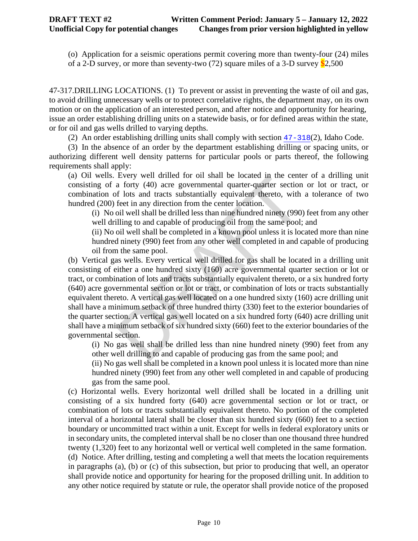(o) Application for a seismic operations permit covering more than twenty-four (24) miles of a 2-D survey, or more than seventy-two  $(72)$  square miles of a 3-D survey  $$2,500$ 

47-317.DRILLING LOCATIONS. (1) To prevent or assist in preventing the waste of oil and gas, to avoid drilling unnecessary wells or to protect correlative rights, the department may, on its own motion or on the application of an interested person, and after notice and opportunity for hearing, issue an order establishing drilling units on a statewide basis, or for defined areas within the state, or for oil and gas wells drilled to varying depths.

(2) An order establishing drilling units shall comply with section [47-318](https://teamwork.idl.idaho.gov/statutesrules/idstat/Title47/T47CH3/SECT47-318)(2), Idaho Code.

(3) In the absence of an order by the department establishing drilling or spacing units, or authorizing different well density patterns for particular pools or parts thereof, the following requirements shall apply:

(a) Oil wells. Every well drilled for oil shall be located in the center of a drilling unit consisting of a forty (40) acre governmental quarter-quarter section or lot or tract, or combination of lots and tracts substantially equivalent thereto, with a tolerance of two hundred (200) feet in any direction from the center location.

(i) No oil well shall be drilled less than nine hundred ninety (990) feet from any other well drilling to and capable of producing oil from the same pool; and

(ii) No oil well shall be completed in a known pool unless it is located more than nine hundred ninety (990) feet from any other well completed in and capable of producing oil from the same pool.

Every well difful of oil shall be focaled in the centure of oils and tracts substantially equivalent thereto, with feet in any direction from the center location.<br>
feet in any direction from the center location.<br>
light be (b) Vertical gas wells. Every vertical well drilled for gas shall be located in a drilling unit consisting of either a one hundred sixty (160) acre governmental quarter section or lot or tract, or combination of lots and tracts substantially equivalent thereto, or a six hundred forty (640) acre governmental section or lot or tract, or combination of lots or tracts substantially equivalent thereto. A vertical gas well located on a one hundred sixty (160) acre drilling unit shall have a minimum setback of three hundred thirty (330) feet to the exterior boundaries of the quarter section. A vertical gas well located on a six hundred forty (640) acre drilling unit shall have a minimum setback of six hundred sixty (660) feet to the exterior boundaries of the governmental section.

(i) No gas well shall be drilled less than nine hundred ninety (990) feet from any other well drilling to and capable of producing gas from the same pool; and

(ii) No gas well shall be completed in a known pool unless it is located more than nine hundred ninety (990) feet from any other well completed in and capable of producing gas from the same pool.

(c) Horizontal wells. Every horizontal well drilled shall be located in a drilling unit consisting of a six hundred forty (640) acre governmental section or lot or tract, or combination of lots or tracts substantially equivalent thereto. No portion of the completed interval of a horizontal lateral shall be closer than six hundred sixty (660) feet to a section boundary or uncommitted tract within a unit. Except for wells in federal exploratory units or in secondary units, the completed interval shall be no closer than one thousand three hundred twenty (1,320) feet to any horizontal well or vertical well completed in the same formation. (d) Notice. After drilling, testing and completing a well that meets the location requirements in paragraphs (a), (b) or (c) of this subsection, but prior to producing that well, an operator

shall provide notice and opportunity for hearing for the proposed drilling unit. In addition to any other notice required by statute or rule, the operator shall provide notice of the proposed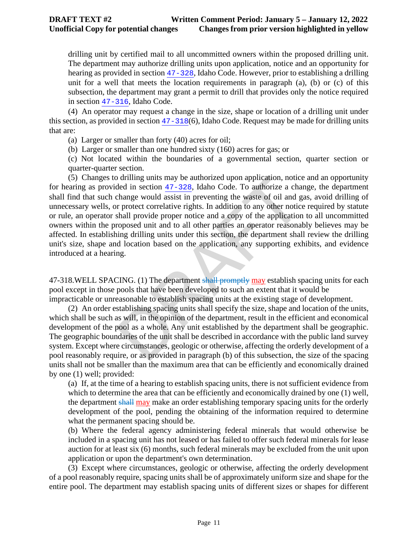drilling unit by certified mail to all uncommitted owners within the proposed drilling unit. The department may authorize drilling units upon application, notice and an opportunity for hearing as provided in section [47-328](https://teamwork.idl.idaho.gov/statutesrules/idstat/Title47/T47CH3/SECT47-328), Idaho Code. However, prior to establishing a drilling unit for a well that meets the location requirements in paragraph (a), (b) or (c) of this subsection, the department may grant a permit to drill that provides only the notice required in section [47-316](https://teamwork.idl.idaho.gov/statutesrules/idstat/Title47/T47CH3/SECT47-316), Idaho Code.

(4) An operator may request a change in the size, shape or location of a drilling unit under this section, as provided in section [47-318](https://teamwork.idl.idaho.gov/statutesrules/idstat/Title47/T47CH3/SECT47-318)(6), Idaho Code. Request may be made for drilling units that are:

(a) Larger or smaller than forty (40) acres for oil;

(b) Larger or smaller than one hundred sixty (160) acres for gas; or

(c) Not located within the boundaries of a governmental section, quarter section or quarter-quarter section.

o drilling units may be authorized upon application, notice<br>ded in section  $47-328$ , Idaho Code. To authorize a cha<br>change would assist in preventing the waste of oil and g<br>r protect correlative rights. In addition to any (5) Changes to drilling units may be authorized upon application, notice and an opportunity for hearing as provided in section 47-328, Idaho Code. To authorize a change, the department shall find that such change would assist in preventing the waste of oil and gas, avoid drilling of unnecessary wells, or protect correlative rights. In addition to any other notice required by statute or rule, an operator shall provide proper notice and a copy of the application to all uncommitted owners within the proposed unit and to all other parties an operator reasonably believes may be affected. In establishing drilling units under this section, the department shall review the drilling unit's size, shape and location based on the application, any supporting exhibits, and evidence introduced at a hearing.

47-318.WELL SPACING. (1) The department shall promptly may establish spacing units for each pool except in those pools that have been developed to such an extent that it would be impracticable or unreasonable to establish spacing units at the existing stage of development.

(2) An order establishing spacing units shall specify the size, shape and location of the units, which shall be such as will, in the opinion of the department, result in the efficient and economical development of the pool as a whole. Any unit established by the department shall be geographic. The geographic boundaries of the unit shall be described in accordance with the public land survey system. Except where circumstances, geologic or otherwise, affecting the orderly development of a pool reasonably require, or as provided in paragraph (b) of this subsection, the size of the spacing units shall not be smaller than the maximum area that can be efficiently and economically drained by one (1) well; provided:

(a) If, at the time of a hearing to establish spacing units, there is not sufficient evidence from which to determine the area that can be efficiently and economically drained by one (1) well, the department shall may make an order establishing temporary spacing units for the orderly development of the pool, pending the obtaining of the information required to determine what the permanent spacing should be.

(b) Where the federal agency administering federal minerals that would otherwise be included in a spacing unit has not leased or has failed to offer such federal minerals for lease auction for at least six (6) months, such federal minerals may be excluded from the unit upon application or upon the department's own determination.

(3) Except where circumstances, geologic or otherwise, affecting the orderly development of a pool reasonably require, spacing units shall be of approximately uniform size and shape for the entire pool. The department may establish spacing units of different sizes or shapes for different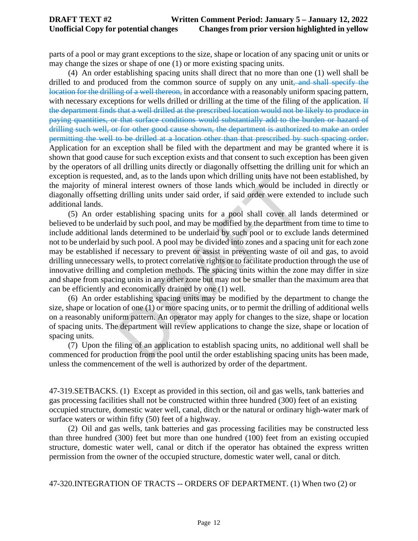### **DRAFT TEXT #2 Written Comment Period: January 5 – January 12, 2022 Unofficial Copy for potential changes Changes from prior version highlighted in yellow**

parts of a pool or may grant exceptions to the size, shape or location of any spacing unit or units or may change the sizes or shape of one (1) or more existing spacing units.

(4) An order establishing spacing units shall direct that no more than one (1) well shall be drilled to and produced from the common source of supply on any unit, and shall specify the location for the drilling of a well thereon, in accordance with a reasonably uniform spacing pattern, with necessary exceptions for wells drilled or drilling at the time of the filing of the application. If the department finds that a well drilled at the prescribed location would not be likely to produce in paying quantities, or that surface conditions would substantially add to the burden or hazard of drilling such well, or for other good cause shown, the department is authorized to make an order permitting the well to be drilled at a location other than that prescribed by such spacing order. Application for an exception shall be filed with the department and may be granted where it is shown that good cause for such exception exists and that consent to such exception has been given by the operators of all drilling units directly or diagonally offsetting the drilling unit for which an exception is requested, and, as to the lands upon which drilling units have not been established, by the majority of mineral interest owners of those lands which would be included in directly or diagonally offsetting drilling units under said order, if said order were extended to include such additional lands.

Edd, and, as to the lands upon which drilling units have not<br>eral interest owners of those lands which would be inc<br>different different state state and order, if said order were exter<br>establishing spacing units for a pool (5) An order establishing spacing units for a pool shall cover all lands determined or believed to be underlaid by such pool, and may be modified by the department from time to time to include additional lands determined to be underlaid by such pool or to exclude lands determined not to be underlaid by such pool. A pool may be divided into zones and a spacing unit for each zone may be established if necessary to prevent or assist in preventing waste of oil and gas, to avoid drilling unnecessary wells, to protect correlative rights or to facilitate production through the use of innovative drilling and completion methods. The spacing units within the zone may differ in size and shape from spacing units in any other zone but may not be smaller than the maximum area that can be efficiently and economically drained by one (1) well.

(6) An order establishing spacing units may be modified by the department to change the size, shape or location of one (1) or more spacing units, or to permit the drilling of additional wells on a reasonably uniform pattern. An operator may apply for changes to the size, shape or location of spacing units. The department will review applications to change the size, shape or location of spacing units.

(7) Upon the filing of an application to establish spacing units, no additional well shall be commenced for production from the pool until the order establishing spacing units has been made, unless the commencement of the well is authorized by order of the department.

47-319.SETBACKS. (1) Except as provided in this section, oil and gas wells, tank batteries and gas processing facilities shall not be constructed within three hundred (300) feet of an existing occupied structure, domestic water well, canal, ditch or the natural or ordinary high-water mark of surface waters or within fifty (50) feet of a highway.

(2) Oil and gas wells, tank batteries and gas processing facilities may be constructed less than three hundred (300) feet but more than one hundred (100) feet from an existing occupied structure, domestic water well, canal or ditch if the operator has obtained the express written permission from the owner of the occupied structure, domestic water well, canal or ditch.

47-320.INTEGRATION OF TRACTS -- ORDERS OF DEPARTMENT. (1) When two (2) or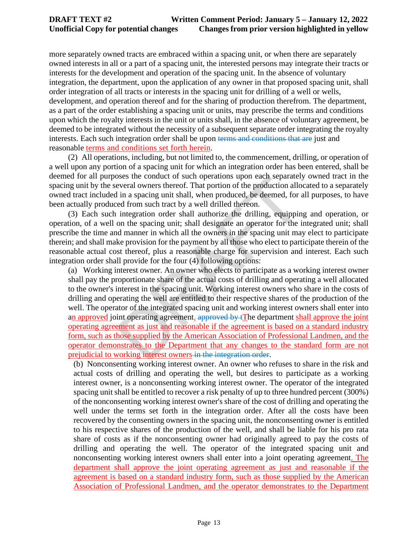more separately owned tracts are embraced within a spacing unit, or when there are separately owned interests in all or a part of a spacing unit, the interested persons may integrate their tracts or interests for the development and operation of the spacing unit. In the absence of voluntary integration, the department, upon the application of any owner in that proposed spacing unit, shall order integration of all tracts or interests in the spacing unit for drilling of a well or wells, development, and operation thereof and for the sharing of production therefrom. The department, as a part of the order establishing a spacing unit or units, may prescribe the terms and conditions upon which the royalty interests in the unit or units shall, in the absence of voluntary agreement, be deemed to be integrated without the necessity of a subsequent separate order integrating the royalty interests. Each such integration order shall be upon terms and conditions that are just and reasonable terms and conditions set forth herein.

(2) All operations, including, but not limited to, the commencement, drilling, or operation of a well upon any portion of a spacing unit for which an integration order has been entered, shall be deemed for all purposes the conduct of such operations upon each separately owned tract in the spacing unit by the several owners thereof. That portion of the production allocated to a separately owned tract included in a spacing unit shall, when produced, be deemed, for all purposes, to have been actually produced from such tract by a well drilled thereon.

(3) Each such integration order shall authorize the drilling, equipping and operation, or operation, of a well on the spacing unit; shall designate an operator for the integrated unit; shall prescribe the time and manner in which all the owners in the spacing unit may elect to participate therein; and shall make provision for the payment by all those who elect to participate therein of the reasonable actual cost thereof, plus a reasonable charge for supervision and interest. Each such integration order shall provide for the four (4) following options:

bester the conduct of such operations upon each separatel<br>everal owners thereof. That portion of the production allo<br>i in a spacing unit shall, when produced, be deemed, for and<br>from such tract by a well drilled thereon.<br> (a) Working interest owner. An owner who elects to participate as a working interest owner shall pay the proportionate share of the actual costs of drilling and operating a well allocated to the owner's interest in the spacing unit. Working interest owners who share in the costs of drilling and operating the well are entitled to their respective shares of the production of the well. The operator of the integrated spacing unit and working interest owners shall enter into an approved joint operating agreement.  $a$ pproved by  $\pm$ The department shall approve the joint operating agreement as just and reasonable if the agreement is based on a standard industry form, such as those supplied by the American Association of Professional Landmen, and the operator demonstrates to the Department that any changes to the standard form are not prejudicial to working interest owners in the integration order.

(b) Nonconsenting working interest owner. An owner who refuses to share in the risk and actual costs of drilling and operating the well, but desires to participate as a working interest owner, is a nonconsenting working interest owner. The operator of the integrated spacing unit shall be entitled to recover a risk penalty of up to three hundred percent (300%) of the nonconsenting working interest owner's share of the cost of drilling and operating the well under the terms set forth in the integration order. After all the costs have been recovered by the consenting owners in the spacing unit, the nonconsenting owner is entitled to his respective shares of the production of the well, and shall be liable for his pro rata share of costs as if the nonconsenting owner had originally agreed to pay the costs of drilling and operating the well. The operator of the integrated spacing unit and nonconsenting working interest owners shall enter into a joint operating agreement. The department shall approve the joint operating agreement as just and reasonable if the agreement is based on a standard industry form, such as those supplied by the American Association of Professional Landmen, and the operator demonstrates to the Department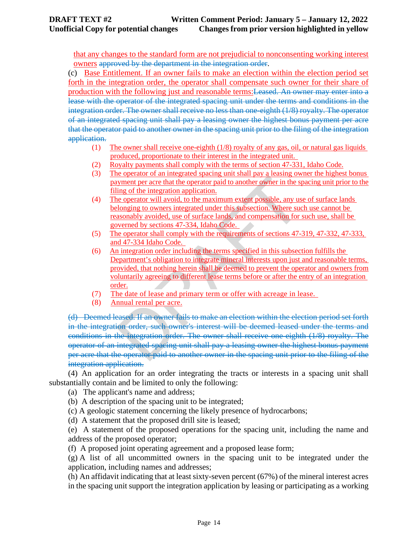that any changes to the standard form are not prejudicial to nonconsenting working interest owners approved by the department in the integration order.

(c) Base Entitlement. If an owner fails to make an election within the election period set forth in the integration order, the operator shall compensate such owner for their share of production with the following just and reasonable terms:Leased. An owner may enter into a lease with the operator of the integrated spacing unit under the terms and conditions in the integration order. The owner shall receive no less than one eighth (1/8) royalty. The operator of an integrated spacing unit shall pay a leasing owner the highest bonus payment per acre that the operator paid to another owner in the spacing unit prior to the filing of the integration application.

- (1) The owner shall receive one-eighth (1/8) royalty of any gas, oil, or natural gas liquids produced, proportionate to their interest in the integrated unit.
- (2) Royalty payments shall comply with the terms of section 47-331, Idaho Code.<br>(3) The operator of an integrated spacing unit shall pay a leasing owner the highes
- The operator of an integrated spacing unit shall pay a leasing owner the highest bonus payment per acre that the operator paid to another owner in the spacing unit prior to the filing of the integration application.
- (4) The operator will avoid, to the maximum extent possible, any use of surface lands belonging to owners integrated under this subsection. Where such use cannot be reasonably avoided, use of surface lands, and compensation for such use, shall be governed by sections 47-334, Idaho Code.
- (5) The operator shall comply with the requirements of sections 47-319, 47-332, 47-333, and 47-334 Idaho Code.
- (6) An integration order including the terms specified in this subsection fulfills the Department's obligation to integrate mineral interests upon just and reasonable terms, provided, that nothing herein shall be deemed to prevent the operator and owners from voluntarily agreeing to different lease terms before or after the entry of an integration order.
- (7) The date of lease and primary term or offer with acreage in lease.
- (8) Annual rental per acre.

From the perator paid to another owner in the specifical properties are dependent of the integration application.<br>
The perator will avoid, to the maximum extent possible, any used by the integration application.<br>
The opera (d) Deemed leased. If an owner fails to make an election within the election period set forth in the integration order, such owner's interest will be deemed leased under the terms and conditions in the integration order. The owner shall receive one-eighth (1/8) royalty. The operator of an integrated spacing unit shall pay a leasing owner the highest bonus payment per acre that the operator paid to another owner in the spacing unit prior to the filing of the integration application.

(4) An application for an order integrating the tracts or interests in a spacing unit shall substantially contain and be limited to only the following:

(a) The applicant's name and address;

(b) A description of the spacing unit to be integrated;

(c) A geologic statement concerning the likely presence of hydrocarbons;

(d) A statement that the proposed drill site is leased;

(e) A statement of the proposed operations for the spacing unit, including the name and address of the proposed operator;

(f) A proposed joint operating agreement and a proposed lease form;

(g) A list of all uncommitted owners in the spacing unit to be integrated under the application, including names and addresses;

(h) An affidavit indicating that at least sixty-seven percent (67%) of the mineral interest acres in the spacing unit support the integration application by leasing or participating as a working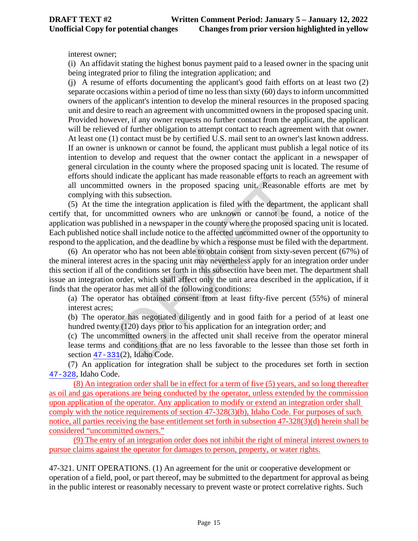interest owner;

(i) An affidavit stating the highest bonus payment paid to a leased owner in the spacing unit being integrated prior to filing the integration application; and

(j) A resume of efforts documenting the applicant's good faith efforts on at least two (2) separate occasions within a period of time no less than sixty (60) days to inform uncommitted owners of the applicant's intention to develop the mineral resources in the proposed spacing unit and desire to reach an agreement with uncommitted owners in the proposed spacing unit. Provided however, if any owner requests no further contact from the applicant, the applicant will be relieved of further obligation to attempt contact to reach agreement with that owner. At least one (1) contact must be by certified U.S. mail sent to an owner's last known address. If an owner is unknown or cannot be found, the applicant must publish a legal notice of its intention to develop and request that the owner contact the applicant in a newspaper of general circulation in the county where the proposed spacing unit is located. The resume of efforts should indicate the applicant has made reasonable efforts to reach an agreement with all uncommitted owners in the proposed spacing unit. Reasonable efforts are met by complying with this subsection.

malcate the applicant has made reasonable errorts to reaced owners in the proposed spacing unit. Reasonable h this subsection.<br>
the integration application is filed with the department committed owners who are unknown or (5) At the time the integration application is filed with the department, the applicant shall certify that, for uncommitted owners who are unknown or cannot be found, a notice of the application was published in a newspaper in the county where the proposed spacing unit is located. Each published notice shall include notice to the affected uncommitted owner of the opportunity to respond to the application, and the deadline by which a response must be filed with the department.

(6) An operator who has not been able to obtain consent from sixty-seven percent (67%) of the mineral interest acres in the spacing unit may nevertheless apply for an integration order under this section if all of the conditions set forth in this subsection have been met. The department shall issue an integration order, which shall affect only the unit area described in the application, if it finds that the operator has met all of the following conditions:

(a) The operator has obtained consent from at least fifty-five percent (55%) of mineral interest acres;

(b) The operator has negotiated diligently and in good faith for a period of at least one hundred twenty (120) days prior to his application for an integration order; and

(c) The uncommitted owners in the affected unit shall receive from the operator mineral lease terms and conditions that are no less favorable to the lessee than those set forth in section [47-331](https://teamwork.idl.idaho.gov/statutesrules/idstat/Title47/T47CH3/SECT47-331)(2), Idaho Code.

(7) An application for integration shall be subject to the procedures set forth in section [47-328](https://teamwork.idl.idaho.gov/statutesrules/idstat/Title47/T47CH3/SECT47-328), Idaho Code.

(8) An integration order shall be in effect for a term of five (5) years, and so long thereafter as oil and gas operations are being conducted by the operator, unless extended by the commission upon application of the operator. Any application to modify or extend an integration order shall comply with the notice requirements of section 47-328(3)(b), Idaho Code. For purposes of such notice, all parties receiving the base entitlement set forth in subsection 47-328(3)(d) herein shall be considered "uncommitted owners."

(9) The entry of an integration order does not inhibit the right of mineral interest owners to pursue claims against the operator for damages to person, property, or water rights.

47-321. UNIT OPERATIONS. (1) An agreement for the unit or cooperative development or operation of a field, pool, or part thereof, may be submitted to the department for approval as being in the public interest or reasonably necessary to prevent waste or protect correlative rights. Such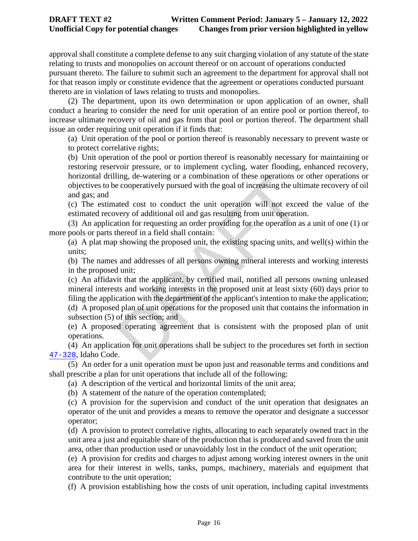approval shall constitute a complete defense to any suit charging violation of any statute of the state relating to trusts and monopolies on account thereof or on account of operations conducted pursuant thereto. The failure to submit such an agreement to the department for approval shall not for that reason imply or constitute evidence that the agreement or operations conducted pursuant

thereto are in violation of laws relating to trusts and monopolies.

(2) The department, upon its own determination or upon application of an owner, shall conduct a hearing to consider the need for unit operation of an entire pool or portion thereof, to increase ultimate recovery of oil and gas from that pool or portion thereof. The department shall issue an order requiring unit operation if it finds that:

(a) Unit operation of the pool or portion thereof is reasonably necessary to prevent waste or to protect correlative rights;

(b) Unit operation of the pool or portion thereof is reasonably necessary for maintaining or restoring reservoir pressure, or to implement cycling, water flooding, enhanced recovery, horizontal drilling, de-watering or a combination of these operations or other operations or objectives to be cooperatively pursued with the goal of increasing the ultimate recovery of oil and gas; and

(c) The estimated cost to conduct the unit operation will not exceed the value of the estimated recovery of additional oil and gas resulting from unit operation.

(3) An application for requesting an order providing for the operation as a unit of one (1) or more pools or parts thereof in a field shall contain:

(a) A plat map showing the proposed unit, the existing spacing units, and well(s) within the units;

(b) The names and addresses of all persons owning mineral interests and working interests in the proposed unit;

ing, de-watering or a combination of these operations of ecooperatively pursued with the goal of increasing the ult<br>ated cost to conduct the unit operation will not excevery of additional oil and gas resulting from unit op (c) An affidavit that the applicant, by certified mail, notified all persons owning unleased mineral interests and working interests in the proposed unit at least sixty (60) days prior to filing the application with the department of the applicant's intention to make the application; (d) A proposed plan of unit operations for the proposed unit that contains the information in

subsection (5) of this section; and (e) A proposed operating agreement that is consistent with the proposed plan of unit

operations. (4) An application for unit operations shall be subject to the procedures set forth in section

[47-328](https://teamwork.idl.idaho.gov/statutesrules/idstat/Title47/T47CH3/SECT47-328), Idaho Code. (5) An order for a unit operation must be upon just and reasonable terms and conditions and shall prescribe a plan for unit operations that include all of the following:

(a) A description of the vertical and horizontal limits of the unit area;

(b) A statement of the nature of the operation contemplated;

(c) A provision for the supervision and conduct of the unit operation that designates an operator of the unit and provides a means to remove the operator and designate a successor operator;

(d) A provision to protect correlative rights, allocating to each separately owned tract in the unit area a just and equitable share of the production that is produced and saved from the unit area, other than production used or unavoidably lost in the conduct of the unit operation;

(e) A provision for credits and charges to adjust among working interest owners in the unit area for their interest in wells, tanks, pumps, machinery, materials and equipment that contribute to the unit operation;

(f) A provision establishing how the costs of unit operation, including capital investments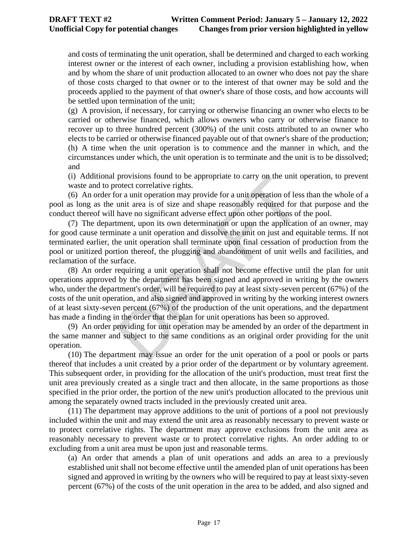and costs of terminating the unit operation, shall be determined and charged to each working interest owner or the interest of each owner, including a provision establishing how, when and by whom the share of unit production allocated to an owner who does not pay the share of those costs charged to that owner or to the interest of that owner may be sold and the proceeds applied to the payment of that owner's share of those costs, and how accounts will be settled upon termination of the unit;

(g) A provision, if necessary, for carrying or otherwise financing an owner who elects to be carried or otherwise financed, which allows owners who carry or otherwise finance to recover up to three hundred percent (300%) of the unit costs attributed to an owner who elects to be carried or otherwise financed payable out of that owner's share of the production; (h) A time when the unit operation is to commence and the manner in which, and the circumstances under which, the unit operation is to terminate and the unit is to be dissolved; and

(i) Additional provisions found to be appropriate to carry on the unit operation, to prevent waste and to protect correlative rights.

(6) An order for a unit operation may provide for a unit operation of less than the whole of a pool as long as the unit area is of size and shape reasonably required for that purpose and the conduct thereof will have no significant adverse effect upon other portions of the pool.

(7) The department, upon its own determination or upon the application of an owner, may for good cause terminate a unit operation and dissolve the unit on just and equitable terms. If not terminated earlier, the unit operation shall terminate upon final cessation of production from the pool or unitized portion thereof, the plugging and abandonment of unit wells and facilities, and reclamation of the surface.

provisions round to be appropriate to carry on the unit of<br>order correlative rights.<br>Or a unit operation may provide for a unit operation of less<br>unit area is of size and shape reasonably required for t<br>have no significant (8) An order requiring a unit operation shall not become effective until the plan for unit operations approved by the department has been signed and approved in writing by the owners who, under the department's order, will be required to pay at least sixty-seven percent (67%) of the costs of the unit operation, and also signed and approved in writing by the working interest owners of at least sixty-seven percent (67%) of the production of the unit operations, and the department has made a finding in the order that the plan for unit operations has been so approved.

(9) An order providing for unit operation may be amended by an order of the department in the same manner and subject to the same conditions as an original order providing for the unit operation.

(10) The department may issue an order for the unit operation of a pool or pools or parts thereof that includes a unit created by a prior order of the department or by voluntary agreement. This subsequent order, in providing for the allocation of the unit's production, must treat first the unit area previously created as a single tract and then allocate, in the same proportions as those specified in the prior order, the portion of the new unit's production allocated to the previous unit among the separately owned tracts included in the previously created unit area.

(11) The department may approve additions to the unit of portions of a pool not previously included within the unit and may extend the unit area as reasonably necessary to prevent waste or to protect correlative rights. The department may approve exclusions from the unit area as reasonably necessary to prevent waste or to protect correlative rights. An order adding to or excluding from a unit area must be upon just and reasonable terms.

(a) An order that amends a plan of unit operations and adds an area to a previously established unit shall not become effective until the amended plan of unit operations has been signed and approved in writing by the owners who will be required to pay at least sixty-seven percent (67%) of the costs of the unit operation in the area to be added, and also signed and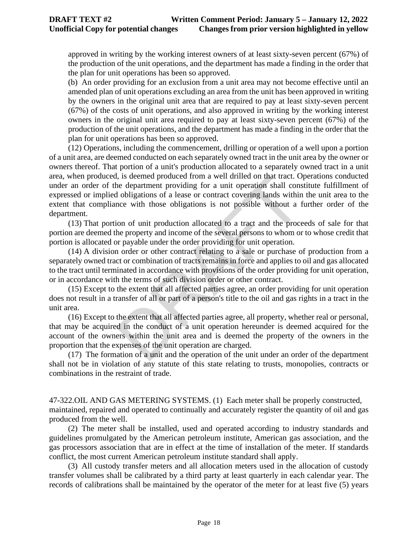approved in writing by the working interest owners of at least sixty-seven percent (67%) of the production of the unit operations, and the department has made a finding in the order that the plan for unit operations has been so approved.

(b) An order providing for an exclusion from a unit area may not become effective until an amended plan of unit operations excluding an area from the unit has been approved in writing by the owners in the original unit area that are required to pay at least sixty-seven percent (67%) of the costs of unit operations, and also approved in writing by the working interest owners in the original unit area required to pay at least sixty-seven percent (67%) of the production of the unit operations, and the department has made a finding in the order that the plan for unit operations has been so approved.

is, is deemed produced rrom a well drilled on that tract. One department providing for a unit operation shall considered by a lobiligations of a lease or contract covering lands withince with those obligations is not possi (12) Operations, including the commencement, drilling or operation of a well upon a portion of a unit area, are deemed conducted on each separately owned tract in the unit area by the owner or owners thereof. That portion of a unit's production allocated to a separately owned tract in a unit area, when produced, is deemed produced from a well drilled on that tract. Operations conducted under an order of the department providing for a unit operation shall constitute fulfillment of expressed or implied obligations of a lease or contract covering lands within the unit area to the extent that compliance with those obligations is not possible without a further order of the department.

(13) That portion of unit production allocated to a tract and the proceeds of sale for that portion are deemed the property and income of the several persons to whom or to whose credit that portion is allocated or payable under the order providing for unit operation.

(14) A division order or other contract relating to a sale or purchase of production from a separately owned tract or combination of tracts remains in force and applies to oil and gas allocated to the tract until terminated in accordance with provisions of the order providing for unit operation, or in accordance with the terms of such division order or other contract.

(15) Except to the extent that all affected parties agree, an order providing for unit operation does not result in a transfer of all or part of a person's title to the oil and gas rights in a tract in the unit area.

(16) Except to the extent that all affected parties agree, all property, whether real or personal, that may be acquired in the conduct of a unit operation hereunder is deemed acquired for the account of the owners within the unit area and is deemed the property of the owners in the proportion that the expenses of the unit operation are charged.

(17) The formation of a unit and the operation of the unit under an order of the department shall not be in violation of any statute of this state relating to trusts, monopolies, contracts or combinations in the restraint of trade.

47-322.OIL AND GAS METERING SYSTEMS. (1) Each meter shall be properly constructed, maintained, repaired and operated to continually and accurately register the quantity of oil and gas produced from the well.

(2) The meter shall be installed, used and operated according to industry standards and guidelines promulgated by the American petroleum institute, American gas association, and the gas processors association that are in effect at the time of installation of the meter. If standards conflict, the most current American petroleum institute standard shall apply.

(3) All custody transfer meters and all allocation meters used in the allocation of custody transfer volumes shall be calibrated by a third party at least quarterly in each calendar year. The records of calibrations shall be maintained by the operator of the meter for at least five (5) years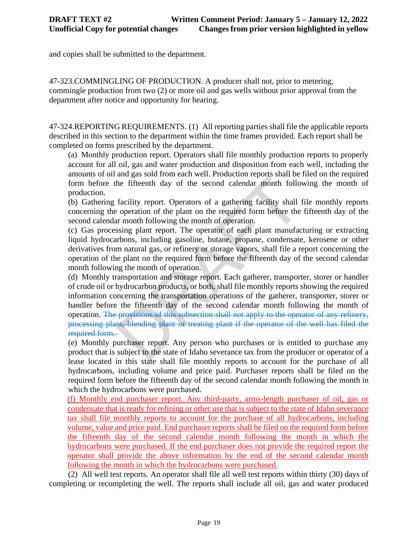and copies shall be submitted to the department.

47-323.COMMINGLING OF PRODUCTION. A producer shall not, prior to metering, commingle production from two (2) or more oil and gas wells without prior approval from the department after notice and opportunity for hearing.

47-324.REPORTING REQUIREMENTS. (1) All reporting parties shall file the applicable reports described in this section to the department within the time frames provided. Each report shall be completed on forms prescribed by the department.

(a) Monthly production report. Operators shall file monthly production reports to properly account for all oil, gas and water production and disposition from each well, including the amounts of oil and gas sold from each well. Production reports shall be filed on the required form before the fifteenth day of the second calendar month following the month of production.

(b) Gathering facility report. Operators of a gathering facility shall file monthly reports concerning the operation of the plant on the required form before the fifteenth day of the second calendar month following the month of operation.

(c) Gas processing plant report. The operator of each plant manufacturing or extracting liquid hydrocarbons, including gasoline, butane, propane, condensate, kerosene or other derivatives from natural gas, or refinery or storage vapors, shall file a report concerning the operation of the plant on the required form before the fifteenth day of the second calendar month following the month of operation.

the fifteenth day of the second calendar month follow<br>the fifteenth day of the second calendar month follo<br>facility report. Operators of a gathering facility shall<br>to operation of the plant on the required form before the<br> (d) Monthly transportation and storage report. Each gatherer, transporter, storer or handler of crude oil or hydrocarbon products, or both, shall file monthly reports showing the required information concerning the transportation operations of the gatherer, transporter, storer or handler before the fifteenth day of the second calendar month following the month of operation. The provisions of this subsection shall not apply to the operator of any refinery, processing plant, blending plant or treating plant if the operator of the well has filed the required form.

(e) Monthly purchaser report. Any person who purchases or is entitled to purchase any product that is subject to the state of Idaho severance tax from the producer or operator of a lease located in this state shall file monthly reports to account for the purchase of all hydrocarbons, including volume and price paid. Purchaser reports shall be filed on the required form before the fifteenth day of the second calendar month following the month in which the hydrocarbons were purchased.

(f) Monthly end purchaser report. Any third-party, arms-length purchaser of oil, gas or condensate that is ready for refining or other use that is subject to the state of Idaho severance tax shall file monthly reports to account for the purchase of all hydrocarbons, including volume, value and price paid. End purchaser reports shall be filed on the required form before the fifteenth day of the second calendar month following the month in which the hydrocarbons were purchased. If the end purchaser does not provide the required report the operator shall provide the above information by the end of the second calendar month following the month in which the hydrocarbons were purchased.

(2) All well test reports. An operator shall file all well test reports within thirty (30) days of completing or recompleting the well. The reports shall include all oil, gas and water produced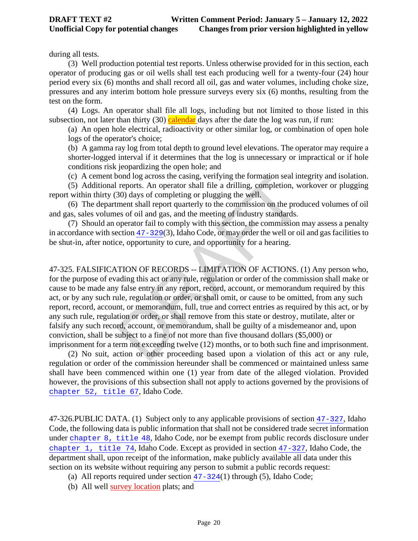during all tests.

(3) Well production potential test reports. Unless otherwise provided for in this section, each operator of producing gas or oil wells shall test each producing well for a twenty-four (24) hour period every six (6) months and shall record all oil, gas and water volumes, including choke size, pressures and any interim bottom hole pressure surveys every six (6) months, resulting from the test on the form.

(4) Logs. An operator shall file all logs, including but not limited to those listed in this subsection, not later than thirty (30) calendar days after the date the log was run, if run:

(a) An open hole electrical, radioactivity or other similar log, or combination of open hole logs of the operator's choice;

(b) A gamma ray log from total depth to ground level elevations. The operator may require a shorter-logged interval if it determines that the log is unnecessary or impractical or if hole conditions risk jeopardizing the open hole; and

(c) A cement bond log across the casing, verifying the formation seal integrity and isolation.

(5) Additional reports. An operator shall file a drilling, completion, workover or plugging report within thirty (30) days of completing or plugging the well.

(6) The department shall report quarterly to the commission on the produced volumes of oil and gas, sales volumes of oil and gas, and the meeting of industry standards.

(7) Should an operator fail to comply with this section, the commission may assess a penalty in accordance with section 47-329(3), Idaho Code, or may order the well or oil and gas facilities to be shut-in, after notice, opportunity to cure, and opportunity for a hearing.

bond log across the casing, verifying the formation seal in<br>reports. An operator shall file a drilling, completion, w<br>30) days of completing or plugging the well.<br>ment shall report quarterly to the commission on the proce 47-325. FALSIFICATION OF RECORDS -- LIMITATION OF ACTIONS. (1) Any person who, for the purpose of evading this act or any rule, regulation or order of the commission shall make or cause to be made any false entry in any report, record, account, or memorandum required by this act, or by any such rule, regulation or order, or shall omit, or cause to be omitted, from any such report, record, account, or memorandum, full, true and correct entries as required by this act, or by any such rule, regulation or order, or shall remove from this state or destroy, mutilate, alter or falsify any such record, account, or memorandum, shall be guilty of a misdemeanor and, upon conviction, shall be subject to a fine of not more than five thousand dollars (\$5,000) or imprisonment for a term not exceeding twelve (12) months, or to both such fine and imprisonment.

(2) No suit, action or other proceeding based upon a violation of this act or any rule, regulation or order of the commission hereunder shall be commenced or maintained unless same shall have been commenced within one (1) year from date of the alleged violation. Provided however, the provisions of this subsection shall not apply to actions governed by the provisions of [chapter 52, title 67](https://teamwork.idl.idaho.gov/statutesrules/idstat/Title67/T67CH52), Idaho Code.

47-326.PUBLIC DATA. (1) Subject only to any applicable provisions of section [47-327](https://teamwork.idl.idaho.gov/statutesrules/idstat/Title47/T47CH3/SECT47-327), Idaho Code, the following data is public information that shall not be considered trade secret information under [chapter 8, title 48](https://teamwork.idl.idaho.gov/statutesrules/idstat/Title48/T48CH8), Idaho Code, nor be exempt from public records disclosure under [chapter 1, title 74](https://teamwork.idl.idaho.gov/statutesrules/idstat/Title74/T74CH1), Idaho Code. Except as provided in section [47-327](https://teamwork.idl.idaho.gov/statutesrules/idstat/Title47/T47CH3/SECT47-327), Idaho Code, the department shall, upon receipt of the information, make publicly available all data under this section on its website without requiring any person to submit a public records request:

(a) All reports required under section  $47-324(1)$  $47-324(1)$  through (5), Idaho Code;

(b) All well survey location plats; and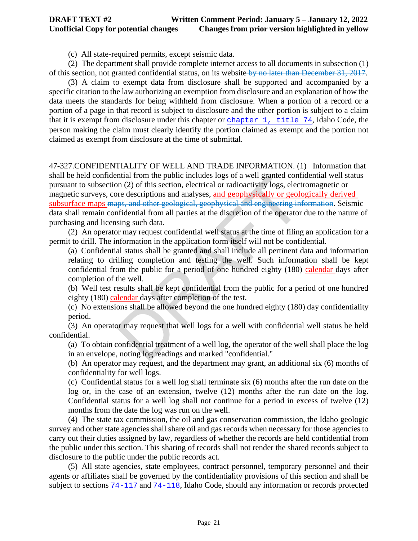(c) All state-required permits, except seismic data.

(2) The department shall provide complete internet access to all documents in subsection (1) of this section, not granted confidential status, on its website by no later than December 31, 2017.

(3) A claim to exempt data from disclosure shall be supported and accompanied by a specific citation to the law authorizing an exemption from disclosure and an explanation of how the data meets the standards for being withheld from disclosure. When a portion of a record or a portion of a page in that record is subject to disclosure and the other portion is subject to a claim that it is exempt from disclosure under this chapter or [chapter 1, title 74](https://teamwork.idl.idaho.gov/statutesrules/idstat/Title74/T74CH1), Idaho Code, the person making the claim must clearly identify the portion claimed as exempt and the portion not claimed as exempt from disclosure at the time of submittal.

Initial from the public includes logs of a well granted control.<br>The distribution of this section, electrical or radioactivity logs, elect<br>ree descriptions and analyses, <u>and geophysically or geole</u><br>ps, and other geologica 47-327.CONFIDENTIALITY OF WELL AND TRADE INFORMATION. (1) Information that shall be held confidential from the public includes logs of a well granted confidential well status pursuant to subsection (2) of this section, electrical or radioactivity logs, electromagnetic or magnetic surveys, core descriptions and analyses, and geophysically or geologically derived subsurface maps maps, and other geological, geophysical and engineering information. Seismic data shall remain confidential from all parties at the discretion of the operator due to the nature of purchasing and licensing such data.

(2) An operator may request confidential well status at the time of filing an application for a permit to drill. The information in the application form itself will not be confidential.

(a) Confidential status shall be granted and shall include all pertinent data and information relating to drilling completion and testing the well. Such information shall be kept confidential from the public for a period of one hundred eighty (180) calendar days after completion of the well.

(b) Well test results shall be kept confidential from the public for a period of one hundred eighty (180) calendar days after completion of the test.

(c) No extensions shall be allowed beyond the one hundred eighty (180) day confidentiality period.

(3) An operator may request that well logs for a well with confidential well status be held confidential.

(a) To obtain confidential treatment of a well log, the operator of the well shall place the log in an envelope, noting log readings and marked "confidential."

(b) An operator may request, and the department may grant, an additional six (6) months of confidentiality for well logs.

(c) Confidential status for a well log shall terminate six (6) months after the run date on the log or, in the case of an extension, twelve (12) months after the run date on the log. Confidential status for a well log shall not continue for a period in excess of twelve (12) months from the date the log was run on the well.

(4) The state tax commission, the oil and gas conservation commission, the Idaho geologic survey and other state agencies shall share oil and gas records when necessary for those agencies to carry out their duties assigned by law, regardless of whether the records are held confidential from the public under this section. This sharing of records shall not render the shared records subject to disclosure to the public under the public records act.

(5) All state agencies, state employees, contract personnel, temporary personnel and their agents or affiliates shall be governed by the confidentiality provisions of this section and shall be subject to sections [74-117](https://teamwork.idl.idaho.gov/statutesrules/idstat/Title74/T74CH1/SECT74-117) and [74-118](https://teamwork.idl.idaho.gov/statutesrules/idstat/Title74/T74CH1/SECT74-118), Idaho Code, should any information or records protected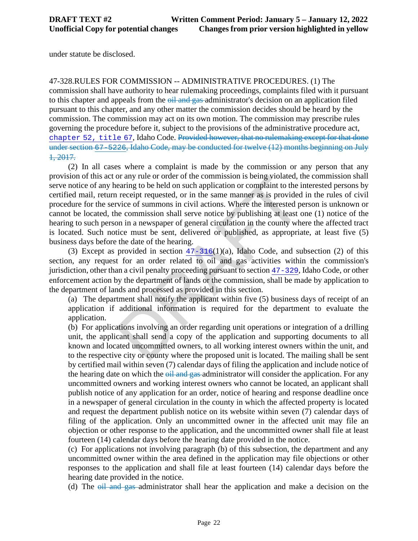under statute be disclosed.

47-328.RULES FOR COMMISSION -- ADMINISTRATIVE PROCEDURES. (1) The commission shall have authority to hear rulemaking proceedings, complaints filed with it pursuant

to this chapter and appeals from the oil and gas administrator's decision on an application filed pursuant to this chapter, and any other matter the commission decides should be heard by the commission. The commission may act on its own motion. The commission may prescribe rules governing the procedure before it, subject to the provisions of the administrative procedure act, [chapter 52, title 67](https://teamwork.idl.idaho.gov/statutesrules/idstat/Title67/T67CH52), Idaho Code. Provided however, that no rulemaking except for that done under section [67-5226](https://teamwork.idl.idaho.gov/statutesrules/idstat/Title67/T67CH52/SECT67-5226), Idaho Code, may be conducted for twelve (12) months beginning on July 1, 2017.

or any rule or order or the commission is being violated, the earing to be held on such application or complaint to the i<br>receipt requested, or in the same manner as is provided<br>vice of summons in civil actions. Where the (2) In all cases where a complaint is made by the commission or any person that any provision of this act or any rule or order of the commission is being violated, the commission shall serve notice of any hearing to be held on such application or complaint to the interested persons by certified mail, return receipt requested, or in the same manner as is provided in the rules of civil procedure for the service of summons in civil actions. Where the interested person is unknown or cannot be located, the commission shall serve notice by publishing at least one (1) notice of the hearing to such person in a newspaper of general circulation in the county where the affected tract is located. Such notice must be sent, delivered or published, as appropriate, at least five (5) business days before the date of the hearing.

(3) Except as provided in section  $47-316(1)(a)$ , Idaho Code, and subsection (2) of this section, any request for an order related to oil and gas activities within the commission's jurisdiction, other than a civil penalty proceeding pursuant to section 47-329, Idaho Code, or other enforcement action by the department of lands or the commission, shall be made by application to the department of lands and processed as provided in this section.

(a) The department shall notify the applicant within five (5) business days of receipt of an application if additional information is required for the department to evaluate the application.

(b) For applications involving an order regarding unit operations or integration of a drilling unit, the applicant shall send a copy of the application and supporting documents to all known and located uncommitted owners, to all working interest owners within the unit, and to the respective city or county where the proposed unit is located. The mailing shall be sent by certified mail within seven (7) calendar days of filing the application and include notice of the hearing date on which the oil and gas administrator will consider the application. For any uncommitted owners and working interest owners who cannot be located, an applicant shall publish notice of any application for an order, notice of hearing and response deadline once in a newspaper of general circulation in the county in which the affected property is located and request the department publish notice on its website within seven (7) calendar days of filing of the application. Only an uncommitted owner in the affected unit may file an objection or other response to the application, and the uncommitted owner shall file at least fourteen (14) calendar days before the hearing date provided in the notice.

(c) For applications not involving paragraph (b) of this subsection, the department and any uncommitted owner within the area defined in the application may file objections or other responses to the application and shall file at least fourteen (14) calendar days before the hearing date provided in the notice.

(d) The  $\overline{oil}$  and gas administrator shall hear the application and make a decision on the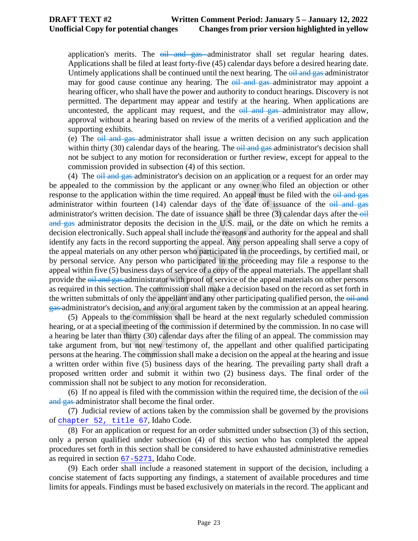application's merits. The  $\theta$ il and gas administrator shall set regular hearing dates. Applications shall be filed at least forty-five (45) calendar days before a desired hearing date. Untimely applications shall be continued until the next hearing. The  $\theta$ <sup>il and</sup> gas administrator may for good cause continue any hearing. The  $\theta$ <sup>il</sup> and gas administrator may appoint a hearing officer, who shall have the power and authority to conduct hearings. Discovery is not permitted. The department may appear and testify at the hearing. When applications are uncontested, the applicant may request, and the  $\theta$ il and gas administrator may allow, approval without a hearing based on review of the merits of a verified application and the supporting exhibits.

(e) The  $\theta$ il and gas administrator shall issue a written decision on any such application within thirty  $(30)$  calendar days of the hearing. The  $\theta$ il and gas administrator's decision shall not be subject to any motion for reconsideration or further review, except for appeal to the commission provided in subsection (4) of this section.

 $\frac{1}{4}$  gas-administrator s decision on an application or a required commission by the applicant or any owner who filed a leadion within the time required. An appeal must be filed a fourteen (14) calendar days of the da (4) The oil and gas administrator's decision on an application or a request for an order may be appealed to the commission by the applicant or any owner who filed an objection or other response to the application within the time required. An appeal must be filed with the  $\frac{\partial}{\partial t}$  and gas administrator within fourteen  $(14)$  calendar days of the date of issuance of the  $\theta$ il and gas administrator's written decision. The date of issuance shall be three  $(3)$  calendar days after the  $-$ oil and gas administrator deposits the decision in the U.S. mail, or the date on which he remits a decision electronically. Such appeal shall include the reasons and authority for the appeal and shall identify any facts in the record supporting the appeal. Any person appealing shall serve a copy of the appeal materials on any other person who participated in the proceedings, by certified mail, or by personal service. Any person who participated in the proceeding may file a response to the appeal within five (5) business days of service of a copy of the appeal materials. The appellant shall provide the  $\frac{\partial u}{\partial x}$  and gas administrator with proof of service of the appeal materials on other persons as required in this section. The commission shall make a decision based on the record as set forth in the written submittals of only the appellant and any other participating qualified person, the  $\theta$ il and gas administrator's decision, and any oral argument taken by the commission at an appeal hearing.

(5) Appeals to the commission shall be heard at the next regularly scheduled commission hearing, or at a special meeting of the commission if determined by the commission. In no case will a hearing be later than thirty (30) calendar days after the filing of an appeal. The commission may take argument from, but not new testimony of, the appellant and other qualified participating persons at the hearing. The commission shall make a decision on the appeal at the hearing and issue a written order within five (5) business days of the hearing. The prevailing party shall draft a proposed written order and submit it within two (2) business days. The final order of the commission shall not be subject to any motion for reconsideration.

(6) If no appeal is filed with the commission within the required time, the decision of the  $\Theta$ il and gas administrator shall become the final order.

(7) Judicial review of actions taken by the commission shall be governed by the provisions of[chapter 52, title 67](https://teamwork.idl.idaho.gov/statutesrules/idstat/Title67/T67CH52), Idaho Code.

(8) For an application or request for an order submitted under subsection (3) of this section, only a person qualified under subsection (4) of this section who has completed the appeal procedures set forth in this section shall be considered to have exhausted administrative remedies as required in section [67-5271](https://teamwork.idl.idaho.gov/statutesrules/idstat/Title67/T67CH52/SECT67-5271), Idaho Code.

(9) Each order shall include a reasoned statement in support of the decision, including a concise statement of facts supporting any findings, a statement of available procedures and time limits for appeals. Findings must be based exclusively on materials in the record. The applicant and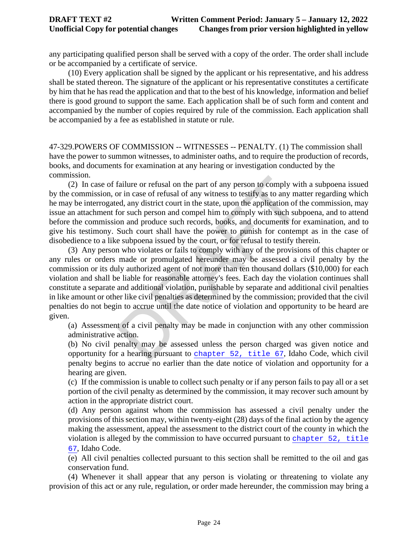### **DRAFT TEXT #2 Written Comment Period: January 5 – January 12, 2022 Unofficial Copy for potential changes Changes from prior version highlighted in yellow**

any participating qualified person shall be served with a copy of the order. The order shall include or be accompanied by a certificate of service.

(10) Every application shall be signed by the applicant or his representative, and his address shall be stated thereon. The signature of the applicant or his representative constitutes a certificate by him that he has read the application and that to the best of his knowledge, information and belief there is good ground to support the same. Each application shall be of such form and content and accompanied by the number of copies required by rule of the commission. Each application shall be accompanied by a fee as established in statute or rule.

47-329.POWERS OF COMMISSION -- WITNESSES -- PENALTY. (1) The commission shall have the power to summon witnesses, to administer oaths, and to require the production of records, books, and documents for examination at any hearing or investigation conducted by the commission.

(2) In case of failure or refusal on the part of any person to comply with a subpoena issued by the commission, or in case of refusal of any witness to testify as to any matter regarding which he may be interrogated, any district court in the state, upon the application of the commission, may issue an attachment for such person and compel him to comply with such subpoena, and to attend before the commission and produce such records, books, and documents for examination, and to give his testimony. Such court shall have the power to punish for contempt as in the case of disobedience to a like subpoena issued by the court, or for refusal to testify therein.

failure or refusal on the part of any person to comply with<br>or in case of refusal of any witness to testify as to any ma<br>ed, any district court in the state, upon the application of t<br>for such person and compel him to comp (3) Any person who violates or fails to comply with any of the provisions of this chapter or any rules or orders made or promulgated hereunder may be assessed a civil penalty by the commission or its duly authorized agent of not more than ten thousand dollars (\$10,000) for each violation and shall be liable for reasonable attorney's fees. Each day the violation continues shall constitute a separate and additional violation, punishable by separate and additional civil penalties in like amount or other like civil penalties as determined by the commission; provided that the civil penalties do not begin to accrue until the date notice of violation and opportunity to be heard are given.

(a) Assessment of a civil penalty may be made in conjunction with any other commission administrative action.

(b) No civil penalty may be assessed unless the person charged was given notice and opportunity for a hearing pursuant to chapter 52, title 67, Idaho Code, which civil penalty begins to accrue no earlier than the date notice of violation and opportunity for a hearing are given.

(c) If the commission is unable to collect such penalty or if any person fails to pay all or a set portion of the civil penalty as determined by the commission, it may recover such amount by action in the appropriate district court.

(d) Any person against whom the commission has assessed a civil penalty under the provisions of this section may, within twenty-eight (28) days of the final action by the agency making the assessment, appeal the assessment to the district court of the county in which the violation is alleged by the commission to have occurred pursuant to [chapter 52, title](https://teamwork.idl.idaho.gov/statutesrules/idstat/Title67/T67CH52)  [67](https://teamwork.idl.idaho.gov/statutesrules/idstat/Title67/T67CH52), Idaho Code.

(e) All civil penalties collected pursuant to this section shall be remitted to the oil and gas conservation fund.

(4) Whenever it shall appear that any person is violating or threatening to violate any provision of this act or any rule, regulation, or order made hereunder, the commission may bring a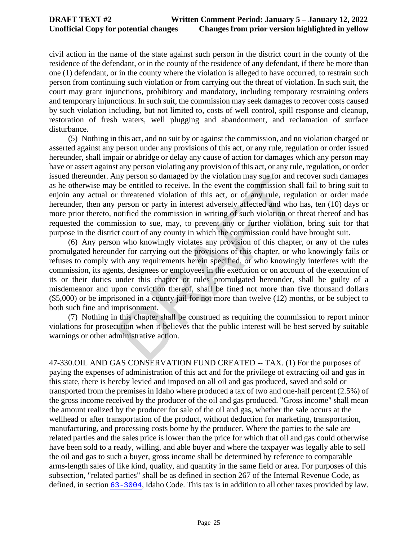civil action in the name of the state against such person in the district court in the county of the residence of the defendant, or in the county of the residence of any defendant, if there be more than one (1) defendant, or in the county where the violation is alleged to have occurred, to restrain such person from continuing such violation or from carrying out the threat of violation. In such suit, the court may grant injunctions, prohibitory and mandatory, including temporary restraining orders and temporary injunctions. In such suit, the commission may seek damages to recover costs caused by such violation including, but not limited to, costs of well control, spill response and cleanup, restoration of fresh waters, well plugging and abandonment, and reclamation of surface disturbance.

(5) Nothing in this act, and no suit by or against the commission, and no violation charged or asserted against any person under any provisions of this act, or any rule, regulation or order issued hereunder, shall impair or abridge or delay any cause of action for damages which any person may have or assert against any person violating any provision of this act, or any rule, regulation, or order issued thereunder. Any person so damaged by the violation may sue for and recover such damages as he otherwise may be entitled to receive. In the event the commission shall fail to bring suit to enjoin any actual or threatened violation of this act, or of any rule, regulation or order made hereunder, then any person or party in interest adversely affected and who has, ten (10) days or more prior thereto, notified the commission in writing of such violation or threat thereof and has requested the commission to sue, may, to prevent any or further violation, bring suit for that purpose in the district court of any county in which the commission could have brought suit.

ny person so damaged by the violation may sue for and re<br>be entitled to receive. In the event the commission shall<br>t threatened violation of this act, or of any rule, regula<br>person or party in interest adversely affected a (6) Any person who knowingly violates any provision of this chapter, or any of the rules promulgated hereunder for carrying out the provisions of this chapter, or who knowingly fails or refuses to comply with any requirements herein specified, or who knowingly interferes with the commission, its agents, designees or employees in the execution or on account of the execution of its or their duties under this chapter or rules promulgated hereunder, shall be guilty of a misdemeanor and upon conviction thereof, shall be fined not more than five thousand dollars (\$5,000) or be imprisoned in a county jail for not more than twelve (12) months, or be subject to both such fine and imprisonment.

(7) Nothing in this chapter shall be construed as requiring the commission to report minor violations for prosecution when it believes that the public interest will be best served by suitable warnings or other administrative action.

47-330.OIL AND GAS CONSERVATION FUND CREATED -- TAX. (1) For the purposes of paying the expenses of administration of this act and for the privilege of extracting oil and gas in this state, there is hereby levied and imposed on all oil and gas produced, saved and sold or transported from the premises in Idaho where produced a tax of two and one-half percent (2.5%) of the gross income received by the producer of the oil and gas produced. "Gross income" shall mean the amount realized by the producer for sale of the oil and gas, whether the sale occurs at the wellhead or after transportation of the product, without deduction for marketing, transportation, manufacturing, and processing costs borne by the producer. Where the parties to the sale are related parties and the sales price is lower than the price for which that oil and gas could otherwise have been sold to a ready, willing, and able buyer and where the taxpayer was legally able to sell the oil and gas to such a buyer, gross income shall be determined by reference to comparable arms-length sales of like kind, quality, and quantity in the same field or area. For purposes of this subsection, "related parties" shall be as defined in section 267 of the Internal Revenue Code, as defined, in section [63-3004](https://teamwork.idl.idaho.gov/statutesrules/idstat/Title63/T63CH30/SECT63-3004), Idaho Code. This tax is in addition to all other taxes provided by law.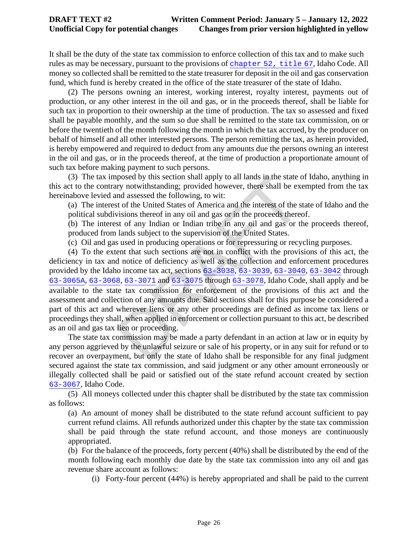It shall be the duty of the state tax commission to enforce collection of this tax and to make such rules as may be necessary, pursuant to the provisions of [chapter 52, title 67](https://teamwork.idl.idaho.gov/statutesrules/idstat/Title67/T67CH52), Idaho Code. All money so collected shall be remitted to the state treasurer for deposit in the oil and gas conservation fund, which fund is hereby created in the office of the state treasurer of the state of Idaho.

(2) The persons owning an interest, working interest, royalty interest, payments out of production, or any other interest in the oil and gas, or in the proceeds thereof, shall be liable for such tax in proportion to their ownership at the time of production. The tax so assessed and fixed shall be payable monthly, and the sum so due shall be remitted to the state tax commission, on or before the twentieth of the month following the month in which the tax accrued, by the producer on behalf of himself and all other interested persons. The person remitting the tax, as herein provided, is hereby empowered and required to deduct from any amounts due the persons owning an interest in the oil and gas, or in the proceeds thereof, at the time of production a proportionate amount of such tax before making payment to such persons.

(3) The tax imposed by this section shall apply to all lands in the state of Idaho, anything in this act to the contrary notwithstanding; provided however, there shall be exempted from the tax hereinabove levied and assessed the following, to wit:

(a) The interest of the United States of America and the interest of the state of Idaho and the political subdivisions thereof in any oil and gas or in the proceeds thereof.

(b) The interest of any Indian or Indian tribe in any oil and gas or the proceeds thereof, produced from lands subject to the supervision of the United States.

(c) Oil and gas used in producing operations or for repressuring or recycling purposes.

posed by this section shall apply to all lands in the state cry notwithstanding; provided however, there shall be ex-<br>nd assessed the following, to wit:<br>to f the United States of [A](https://teamwork.idl.idaho.gov/statutesrules/idstat/Title63/T63CH30/SECT63-3038)merica and the interest of the s<br>visions (4) To the extent that such sections are not in conflict with the provisions of this act, the deficiency in tax and notice of deficiency as well as the collection and enforcement procedures provided by the Idaho income tax act, sections 63-3038, 63-3039, 63-3040, [63-3042](https://teamwork.idl.idaho.gov/statutesrules/idstat/Title63/T63CH30/SECT63-3042) through [63-3065A](https://teamwork.idl.idaho.gov/statutesrules/idstat/Title63/T63CH30/SECT63-3065A), [63-3068](https://teamwork.idl.idaho.gov/statutesrules/idstat/Title63/T63CH30/SECT63-3068), 63-3071 and 63-3075 through 63-3078, Idaho Code, shall apply and be available to the state tax commission for enforcement of the provisions of this act and the assessment and collection of any amounts due. Said sections shall for this purpose be considered a part of this act and wherever liens or any other proceedings are defined as income tax liens or proceedings they shall, when applied in enforcement or collection pursuant to this act, be described as an oil and gas tax lien or proceeding.

The state tax commission may be made a party defendant in an action at law or in equity by any person aggrieved by the unlawful seizure or sale of his property, or in any suit for refund or to recover an overpayment, but only the state of Idaho shall be responsible for any final judgment secured against the state tax commission, and said judgment or any other amount erroneously or illegally collected shall be paid or satisfied out of the state refund account created by section [63-3067](https://teamwork.idl.idaho.gov/statutesrules/idstat/Title63/T63CH30/SECT63-3067), Idaho Code.

(5) All moneys collected under this chapter shall be distributed by the state tax commission as follows:

(a) An amount of money shall be distributed to the state refund account sufficient to pay current refund claims. All refunds authorized under this chapter by the state tax commission shall be paid through the state refund account, and those moneys are continuously appropriated.

(b) For the balance of the proceeds, forty percent (40%) shall be distributed by the end of the month following each monthly due date by the state tax commission into any oil and gas revenue share account as follows:

(i) Forty-four percent (44%) is hereby appropriated and shall be paid to the current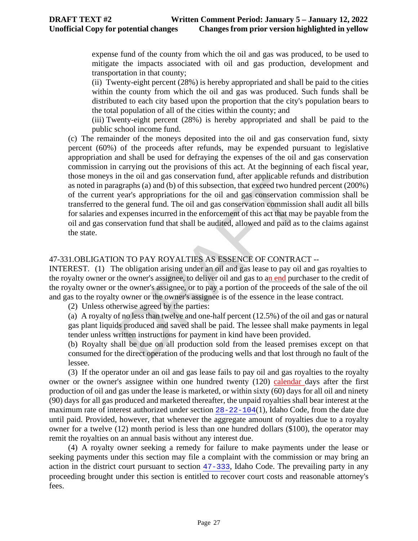expense fund of the county from which the oil and gas was produced, to be used to mitigate the impacts associated with oil and gas production, development and transportation in that county;

(ii) Twenty-eight percent (28%) is hereby appropriated and shall be paid to the cities within the county from which the oil and gas was produced. Such funds shall be distributed to each city based upon the proportion that the city's population bears to the total population of all of the cities within the county; and

(iii) Twenty-eight percent (28%) is hereby appropriated and shall be paid to the public school income fund.

In the oil and gas conservation rund, after applicable refundantly and (b) of this subsection, that exceed two hun year's appropriations for the oil and gas conservation commission he general fund. The oil and gas conserva (c) The remainder of the moneys deposited into the oil and gas conservation fund, sixty percent (60%) of the proceeds after refunds, may be expended pursuant to legislative appropriation and shall be used for defraying the expenses of the oil and gas conservation commission in carrying out the provisions of this act. At the beginning of each fiscal year, those moneys in the oil and gas conservation fund, after applicable refunds and distribution as noted in paragraphs (a) and (b) of this subsection, that exceed two hundred percent (200%) of the current year's appropriations for the oil and gas conservation commission shall be transferred to the general fund. The oil and gas conservation commission shall audit all bills for salaries and expenses incurred in the enforcement of this act that may be payable from the oil and gas conservation fund that shall be audited, allowed and paid as to the claims against the state.

# 47-331.OBLIGATION TO PAY ROYALTIES AS ESSENCE OF CONTRACT --

INTEREST. (1) The obligation arising under an oil and gas lease to pay oil and gas royalties to the royalty owner or the owner's assignee, to deliver oil and gas to an end purchaser to the credit of the royalty owner or the owner's assignee, or to pay a portion of the proceeds of the sale of the oil and gas to the royalty owner or the owner's assignee is of the essence in the lease contract.

(2) Unless otherwise agreed by the parties:

(a) A royalty of no less than twelve and one-half percent (12.5%) of the oil and gas or natural gas plant liquids produced and saved shall be paid. The lessee shall make payments in legal tender unless written instructions for payment in kind have been provided.

(b) Royalty shall be due on all production sold from the leased premises except on that consumed for the direct operation of the producing wells and that lost through no fault of the lessee.

(3) If the operator under an oil and gas lease fails to pay oil and gas royalties to the royalty owner or the owner's assignee within one hundred twenty (120) calendar days after the first production of oil and gas under the lease is marketed, or within sixty (60) days for all oil and ninety (90) days for all gas produced and marketed thereafter, the unpaid royalties shall bear interest at the maximum rate of interest authorized under section [28-22-104](https://teamwork.idl.idaho.gov/statutesrules/idstat/Title28/T28CH22/SECT28-22-104)(1), Idaho Code, from the date due until paid. Provided, however, that whenever the aggregate amount of royalties due to a royalty owner for a twelve (12) month period is less than one hundred dollars (\$100), the operator may remit the royalties on an annual basis without any interest due.

(4) A royalty owner seeking a remedy for failure to make payments under the lease or seeking payments under this section may file a complaint with the commission or may bring an action in the district court pursuant to section [47-333](https://teamwork.idl.idaho.gov/statutesrules/idstat/Title47/T47CH3/SECT47-333), Idaho Code. The prevailing party in any proceeding brought under this section is entitled to recover court costs and reasonable attorney's fees.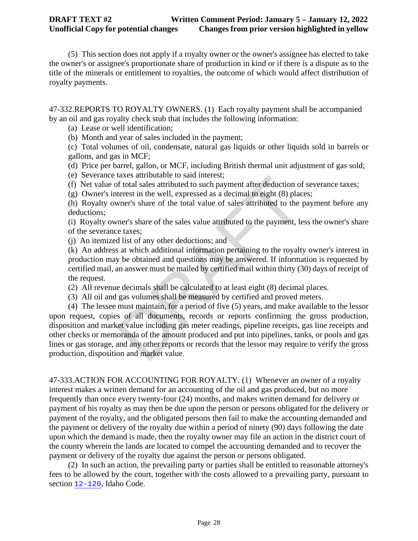(5) This section does not apply if a royalty owner or the owner's assignee has elected to take the owner's or assignee's proportionate share of production in kind or if there is a dispute as to the title of the minerals or entitlement to royalties, the outcome of which would affect distribution of royalty payments.

47-332.REPORTS TO ROYALTY OWNERS. (1) Each royalty payment shall be accompanied by an oil and gas royalty check stub that includes the following information:

(a) Lease or well identification;

(b) Month and year of sales included in the payment;

(c) Total volumes of oil, condensate, natural gas liquids or other liquids sold in barrels or gallons, and gas in MCF;

(d) Price per barrel, gallon, or MCF, including British thermal unit adjustment of gas sold;

(e) Severance taxes attributable to said interest;

(f) Net value of total sales attributed to such payment after deduction of severance taxes;

(g) Owner's interest in the well, expressed as a decimal to eight (8) places;

(h) Royalty owner's share of the total value of sales attributed to the payment before any deductions;

(i) Royalty owner's share of the sales value attributed to the payment, less the owner's share of the severance taxes;

(j) An itemized list of any other deductions; and

(k) An address at which additional information pertaining to the royalty owner's interest in production may be obtained and questions may be answered. If information is requested by certified mail, an answer must be mailed by certified mail within thirty (30) days of receipt of the request.

(2) All revenue decimals shall be calculated to at least eight (8) decimal places.

(3) All oil and gas volumes shall be measured by certified and proved meters.

dates attributed to said interest,<br>f total sales attributed to such payment after deduction of<br>terest in the well, expressed as a decimal to eight (8) placemen's share of the total value of sales attributed to the<br>payment, (4) The lessee must maintain, for a period of five (5) years, and make available to the lessor upon request, copies of all documents, records or reports confirming the gross production, disposition and market value including gas meter readings, pipeline receipts, gas line receipts and other checks or memoranda of the amount produced and put into pipelines, tanks, or pools and gas lines or gas storage, and any other reports or records that the lessor may require to verify the gross production, disposition and market value.

47-333.ACTION FOR ACCOUNTING FOR ROYALTY. (1) Whenever an owner of a royalty interest makes a written demand for an accounting of the oil and gas produced, but no more frequently than once every twenty-four (24) months, and makes written demand for delivery or payment of his royalty as may then be due upon the person or persons obligated for the delivery or payment of the royalty, and the obligated persons then fail to make the accounting demanded and the payment or delivery of the royalty due within a period of ninety (90) days following the date upon which the demand is made, then the royalty owner may file an action in the district court of the county wherein the lands are located to compel the accounting demanded and to recover the payment or delivery of the royalty due against the person or persons obligated.

(2) In such an action, the prevailing party or parties shall be entitled to reasonable attorney's fees to be allowed by the court, together with the costs allowed to a prevailing party, pursuant to section [12-120](https://teamwork.idl.idaho.gov/statutesrules/idstat/Title12/T12CH1/SECT12-120), Idaho Code.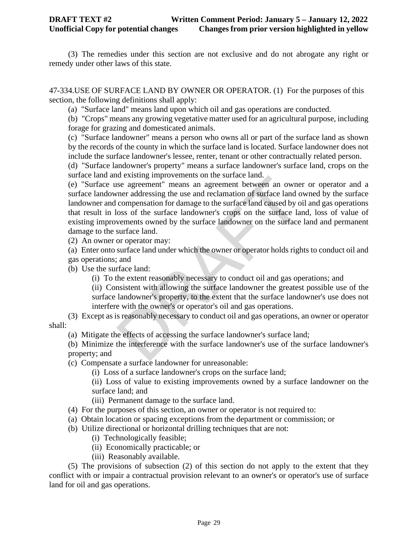(3) The remedies under this section are not exclusive and do not abrogate any right or remedy under other laws of this state.

47-334.USE OF SURFACE LAND BY OWNER OR OPERATOR. (1) For the purposes of this section, the following definitions shall apply:

(a) "Surface land" means land upon which oil and gas operations are conducted.

(b) "Crops" means any growing vegetative matter used for an agricultural purpose, including forage for grazing and domesticated animals.

(c) "Surface landowner" means a person who owns all or part of the surface land as shown by the records of the county in which the surface land is located. Surface landowner does not include the surface landowner's lessee, renter, tenant or other contractually related person.

(d) "Surface landowner's property" means a surface landowner's surface land, crops on the surface land and existing improvements on the surface land.

is a greement" means an agreement between an owner addressing the use and reclamation of surface land compensation for damage to the surface land caused by o compensation for damage to the surface land caused by o compensa (e) "Surface use agreement" means an agreement between an owner or operator and a surface landowner addressing the use and reclamation of surface land owned by the surface landowner and compensation for damage to the surface land caused by oil and gas operations that result in loss of the surface landowner's crops on the surface land, loss of value of existing improvements owned by the surface landowner on the surface land and permanent damage to the surface land.

(2) An owner or operator may:

(a) Enter onto surface land under which the owner or operator holds rights to conduct oil and gas operations; and

(b) Use the surface land:

(i) To the extent reasonably necessary to conduct oil and gas operations; and

(ii) Consistent with allowing the surface landowner the greatest possible use of the surface landowner's property, to the extent that the surface landowner's use does not interfere with the owner's or operator's oil and gas operations.

(3) Except as is reasonably necessary to conduct oil and gas operations, an owner or operator shall:

(a) Mitigate the effects of accessing the surface landowner's surface land;

(b) Minimize the interference with the surface landowner's use of the surface landowner's property; and

(c) Compensate a surface landowner for unreasonable:

(i) Loss of a surface landowner's crops on the surface land;

(ii) Loss of value to existing improvements owned by a surface landowner on the surface land; and

(iii) Permanent damage to the surface land.

(4) For the purposes of this section, an owner or operator is not required to:

(a) Obtain location or spacing exceptions from the department or commission; or

(b) Utilize directional or horizontal drilling techniques that are not:

(i) Technologically feasible;

(ii) Economically practicable; or

(iii) Reasonably available.

(5) The provisions of subsection (2) of this section do not apply to the extent that they conflict with or impair a contractual provision relevant to an owner's or operator's use of surface land for oil and gas operations.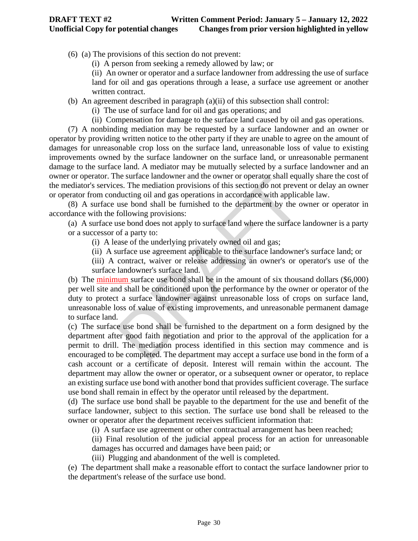(6) (a) The provisions of this section do not prevent:

- (i) A person from seeking a remedy allowed by law; or
- (ii) An owner or operator and a surface landowner from addressing the use of surface land for oil and gas operations through a lease, a surface use agreement or another written contract.

(b) An agreement described in paragraph (a)(ii) of this subsection shall control:

- (i) The use of surface land for oil and gas operations; and
- (ii) Compensation for damage to the surface land caused by oil and gas operations.

(7) A nonbinding mediation may be requested by a surface landowner and an owner or operator by providing written notice to the other party if they are unable to agree on the amount of damages for unreasonable crop loss on the surface land, unreasonable loss of value to existing improvements owned by the surface landowner on the surface land, or unreasonable permanent damage to the surface land. A mediator may be mutually selected by a surface landowner and an owner or operator. The surface landowner and the owner or operator shall equally share the cost of the mediator's services. The mediation provisions of this section do not prevent or delay an owner or operator from conducting oil and gas operations in accordance with applicable law.

(8) A surface use bond shall be furnished to the department by the owner or operator in accordance with the following provisions:

(a) A surface use bond does not apply to surface land where the surface landowner is a party or a successor of a party to:

- (i) A lease of the underlying privately owned oil and gas;
- (ii) A surface use agreement applicable to the surface landowner's surface land; or

(iii) A contract, waiver or release addressing an owner's or operator's use of the surface landowner's surface land.

ne surface landowner and the owner or operator shall eques. The mediation provisions of this section do not prevel ducting oil and gas operations in accordance with applica use bond shall be furnished to the department by (b) The minimum surface use bond shall be in the amount of six thousand dollars (\$6,000) per well site and shall be conditioned upon the performance by the owner or operator of the duty to protect a surface landowner against unreasonable loss of crops on surface land, unreasonable loss of value of existing improvements, and unreasonable permanent damage to surface land.

(c) The surface use bond shall be furnished to the department on a form designed by the department after good faith negotiation and prior to the approval of the application for a permit to drill. The mediation process identified in this section may commence and is encouraged to be completed. The department may accept a surface use bond in the form of a cash account or a certificate of deposit. Interest will remain within the account. The department may allow the owner or operator, or a subsequent owner or operator, to replace an existing surface use bond with another bond that provides sufficient coverage. The surface use bond shall remain in effect by the operator until released by the department.

(d) The surface use bond shall be payable to the department for the use and benefit of the surface landowner, subject to this section. The surface use bond shall be released to the owner or operator after the department receives sufficient information that:

(i) A surface use agreement or other contractual arrangement has been reached;

(ii) Final resolution of the judicial appeal process for an action for unreasonable damages has occurred and damages have been paid; or

(iii) Plugging and abandonment of the well is completed.

(e) The department shall make a reasonable effort to contact the surface landowner prior to the department's release of the surface use bond.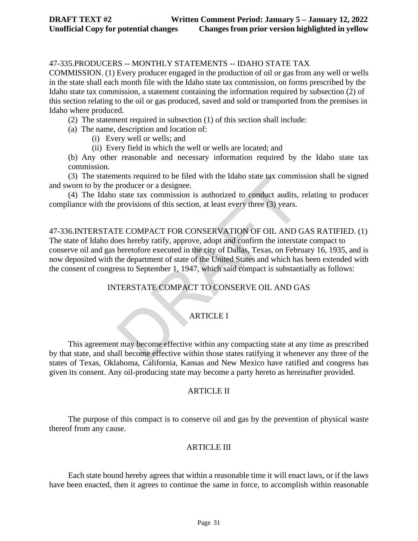# 47-335.PRODUCERS -- MONTHLY STATEMENTS -- IDAHO STATE TAX

COMMISSION. (1) Every producer engaged in the production of oil or gas from any well or wells in the state shall each month file with the Idaho state tax commission, on forms prescribed by the Idaho state tax commission, a statement containing the information required by subsection (2) of this section relating to the oil or gas produced, saved and sold or transported from the premises in Idaho where produced.

- (2) The statement required in subsection (1) of this section shall include:
- (a) The name, description and location of:
	- (i) Every well or wells; and
	- (ii) Every field in which the well or wells are located; and

(b) Any other reasonable and necessary information required by the Idaho state tax commission.

(3) The statements required to be filed with the Idaho state tax commission shall be signed and sworn to by the producer or a designee.

(4) The Idaho state tax commission is authorized to conduct audits, relating to producer compliance with the provisions of this section, at least every three (3) years.

independent of the state state at a commission is authorized to conduct audits,<br>provisions of this section, at least every three (3) years.<br>The COMPACT FOR CONSERVATION OF OIL AND C<br>pes hereby ratify, approve, adopt and co 47-336.INTERSTATE COMPACT FOR CONSERVATION OF OIL AND GAS RATIFIED. (1) The state of Idaho does hereby ratify, approve, adopt and confirm the interstate compact to conserve oil and gas heretofore executed in the city of Dallas, Texas, on February 16, 1935, and is now deposited with the department of state of the United States and which has been extended with the consent of congress to September 1, 1947, which said compact is substantially as follows:

# INTERSTATE COMPACT TO CONSERVE OIL AND GAS

# ARTICLE I

This agreement may become effective within any compacting state at any time as prescribed by that state, and shall become effective within those states ratifying it whenever any three of the states of Texas, Oklahoma, California, Kansas and New Mexico have ratified and congress has given its consent. Any oil-producing state may become a party hereto as hereinafter provided.

### ARTICLE II

The purpose of this compact is to conserve oil and gas by the prevention of physical waste thereof from any cause.

### ARTICLE III

Each state bound hereby agrees that within a reasonable time it will enact laws, or if the laws have been enacted, then it agrees to continue the same in force, to accomplish within reasonable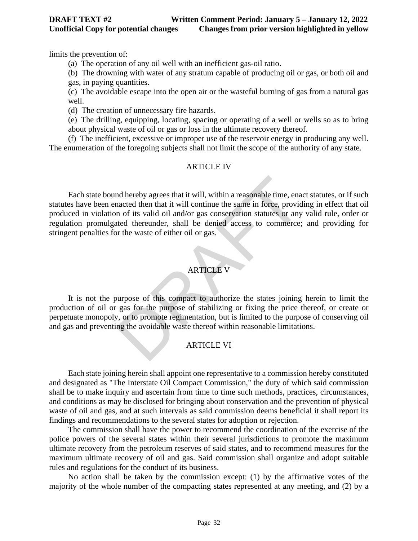limits the prevention of:

(a) The operation of any oil well with an inefficient gas-oil ratio.

(b) The drowning with water of any stratum capable of producing oil or gas, or both oil and gas, in paying quantities.

(c) The avoidable escape into the open air or the wasteful burning of gas from a natural gas well.

(d) The creation of unnecessary fire hazards.

(e) The drilling, equipping, locating, spacing or operating of a well or wells so as to bring about physical waste of oil or gas or loss in the ultimate recovery thereof.

(f) The inefficient, excessive or improper use of the reservoir energy in producing any well. The enumeration of the foregoing subjects shall not limit the scope of the authority of any state.

### ARTICLE IV

nd hereby agrees that it will, within a reasonable time, enancted then that it will continue the same in force, provided in of its valid oil and/or gas conservation statutes or any ited thereunder, shall be denied access t Each state bound hereby agrees that it will, within a reasonable time, enact statutes, or if such statutes have been enacted then that it will continue the same in force, providing in effect that oil produced in violation of its valid oil and/or gas conservation statutes or any valid rule, order or regulation promulgated thereunder, shall be denied access to commerce; and providing for stringent penalties for the waste of either oil or gas.

### ARTICLE V

It is not the purpose of this compact to authorize the states joining herein to limit the production of oil or gas for the purpose of stabilizing or fixing the price thereof, or create or perpetuate monopoly, or to promote regimentation, but is limited to the purpose of conserving oil and gas and preventing the avoidable waste thereof within reasonable limitations.

# ARTICLE VI

Each state joining herein shall appoint one representative to a commission hereby constituted and designated as "The Interstate Oil Compact Commission," the duty of which said commission shall be to make inquiry and ascertain from time to time such methods, practices, circumstances, and conditions as may be disclosed for bringing about conservation and the prevention of physical waste of oil and gas, and at such intervals as said commission deems beneficial it shall report its findings and recommendations to the several states for adoption or rejection.

The commission shall have the power to recommend the coordination of the exercise of the police powers of the several states within their several jurisdictions to promote the maximum ultimate recovery from the petroleum reserves of said states, and to recommend measures for the maximum ultimate recovery of oil and gas. Said commission shall organize and adopt suitable rules and regulations for the conduct of its business.

No action shall be taken by the commission except: (1) by the affirmative votes of the majority of the whole number of the compacting states represented at any meeting, and (2) by a